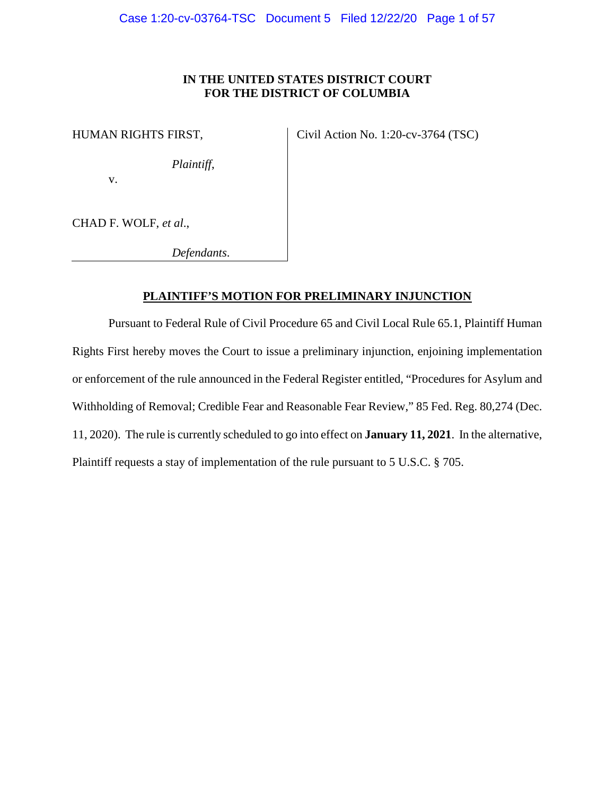# **IN THE UNITED STATES DISTRICT COURT FOR THE DISTRICT OF COLUMBIA**

HUMAN RIGHTS FIRST,

Civil Action No. 1:20-cv-3764 (TSC)

*Plaintiff*,

v.

CHAD F. WOLF, *et al*.,

*Defendants*.

# **PLAINTIFF'S MOTION FOR PRELIMINARY INJUNCTION**

Pursuant to Federal Rule of Civil Procedure 65 and Civil Local Rule 65.1, Plaintiff Human Rights First hereby moves the Court to issue a preliminary injunction, enjoining implementation or enforcement of the rule announced in the Federal Register entitled, "Procedures for Asylum and Withholding of Removal; Credible Fear and Reasonable Fear Review," 85 Fed. Reg. 80,274 (Dec. 11, 2020). The rule is currently scheduled to go into effect on **January 11, 2021**. In the alternative, Plaintiff requests a stay of implementation of the rule pursuant to 5 U.S.C. § 705.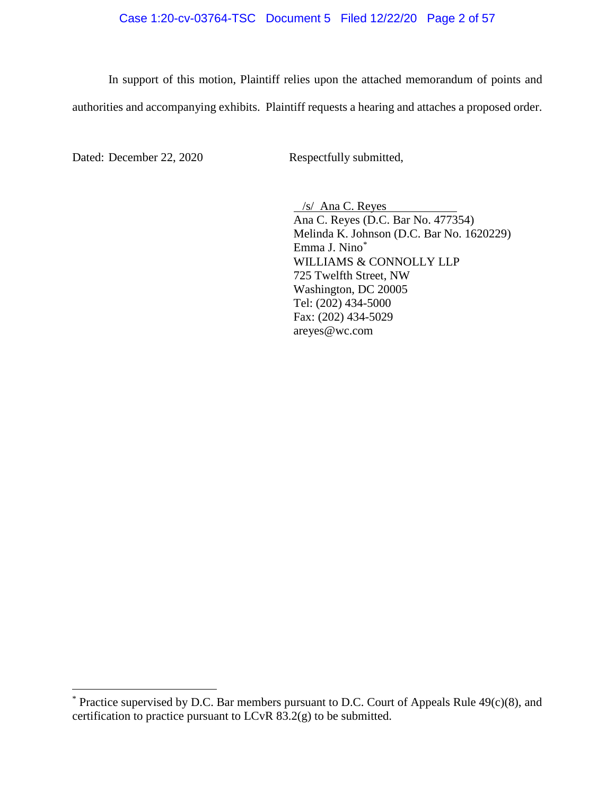# Case 1:20-cv-03764-TSC Document 5 Filed 12/22/20 Page 2 of 57

In support of this motion, Plaintiff relies upon the attached memorandum of points and authorities and accompanying exhibits. Plaintiff requests a hearing and attaches a proposed order.

Dated: December 22, 2020 Respectfully submitted,

/s/ Ana C. Reyes Ana C. Reyes (D.C. Bar No. 477354) Melinda K. Johnson (D.C. Bar No. 1620229) Emma J. Nino\* WILLIAMS & CONNOLLY LLP 725 Twelfth Street, NW Washington, DC 20005 Tel: (202) 434-5000 Fax: (202) 434-5029 areyes@wc.com

 $*$  Practice supervised by D.C. Bar members pursuant to D.C. Court of Appeals Rule  $49(c)(8)$ , and certification to practice pursuant to LCvR 83.2(g) to be submitted.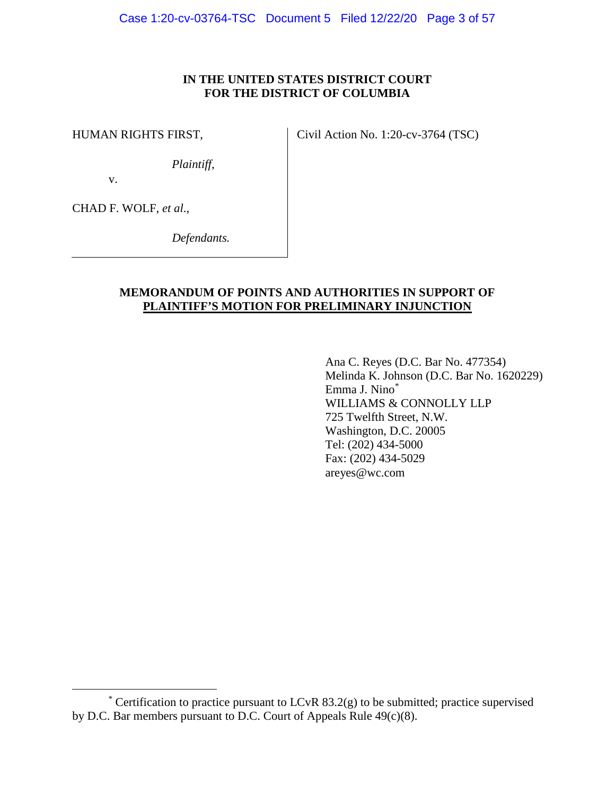# **IN THE UNITED STATES DISTRICT COURT FOR THE DISTRICT OF COLUMBIA**

HUMAN RIGHTS FIRST,

Civil Action No. 1:20-cv-3764 (TSC)

*Plaintiff,*

v.

CHAD F. WOLF, *et al*.,

*Defendants.*

# **MEMORANDUM OF POINTS AND AUTHORITIES IN SUPPORT OF PLAINTIFF'S MOTION FOR PRELIMINARY INJUNCTION**

Ana C. Reyes (D.C. Bar No. 477354) Melinda K. Johnson (D.C. Bar No. 1620229) Emma J. Nino\* WILLIAMS & CONNOLLY LLP 725 Twelfth Street, N.W. Washington, D.C. 20005 Tel: (202) 434-5000 Fax: (202) 434-5029 areyes@wc.com

<sup>\*</sup> Certification to practice pursuant to LCvR  $83.2(g)$  to be submitted; practice supervised by D.C. Bar members pursuant to D.C. Court of Appeals Rule  $49(c)(8)$ .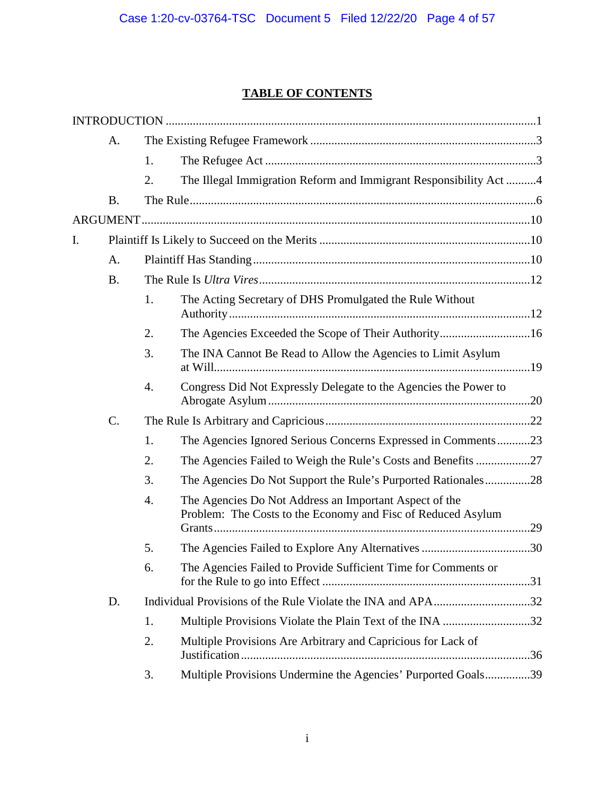# **TABLE OF CONTENTS**

|    | A.              |    |                                                                                                                        |  |
|----|-----------------|----|------------------------------------------------------------------------------------------------------------------------|--|
|    |                 | 1. |                                                                                                                        |  |
|    |                 | 2. | The Illegal Immigration Reform and Immigrant Responsibility Act4                                                       |  |
|    | <b>B.</b>       |    |                                                                                                                        |  |
|    |                 |    |                                                                                                                        |  |
| I. |                 |    |                                                                                                                        |  |
|    | A.              |    |                                                                                                                        |  |
|    | <b>B.</b>       |    |                                                                                                                        |  |
|    |                 | 1. | The Acting Secretary of DHS Promulgated the Rule Without                                                               |  |
|    |                 | 2. | The Agencies Exceeded the Scope of Their Authority16                                                                   |  |
|    |                 | 3. | The INA Cannot Be Read to Allow the Agencies to Limit Asylum                                                           |  |
|    |                 | 4. | Congress Did Not Expressly Delegate to the Agencies the Power to                                                       |  |
|    | $\mathcal{C}$ . |    |                                                                                                                        |  |
|    |                 | 1. | The Agencies Ignored Serious Concerns Expressed in Comments23                                                          |  |
|    |                 | 2. | The Agencies Failed to Weigh the Rule's Costs and Benefits 27                                                          |  |
|    |                 | 3. | The Agencies Do Not Support the Rule's Purported Rationales28                                                          |  |
|    |                 | 4. | The Agencies Do Not Address an Important Aspect of the<br>Problem: The Costs to the Economy and Fisc of Reduced Asylum |  |
|    |                 | 5. |                                                                                                                        |  |
|    |                 | 6. | The Agencies Failed to Provide Sufficient Time for Comments or                                                         |  |
|    | D.              |    |                                                                                                                        |  |
|    |                 | 1. | Multiple Provisions Violate the Plain Text of the INA 32                                                               |  |
|    |                 | 2. | Multiple Provisions Are Arbitrary and Capricious for Lack of                                                           |  |
|    |                 | 3. | Multiple Provisions Undermine the Agencies' Purported Goals39                                                          |  |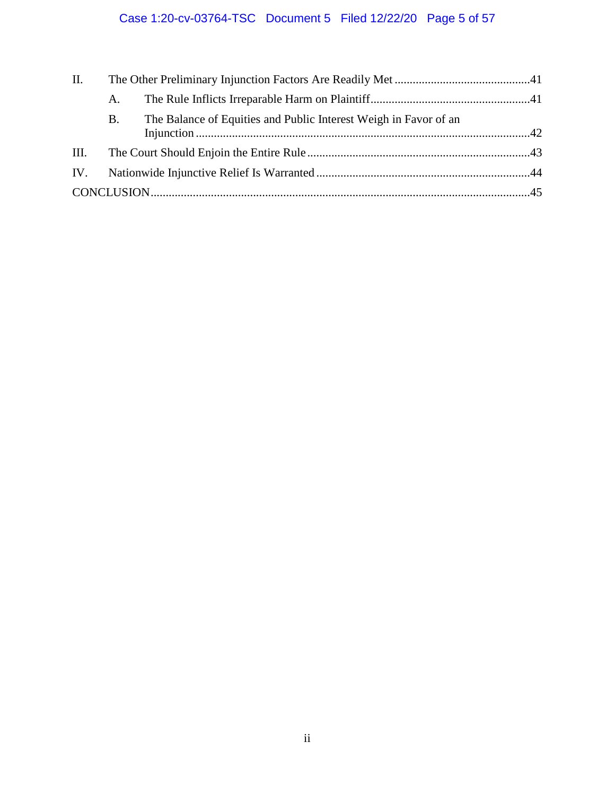# Case 1:20-cv-03764-TSC Document 5 Filed 12/22/20 Page 5 of 57

| П. |           |                                                                  |  |
|----|-----------|------------------------------------------------------------------|--|
|    | A.        |                                                                  |  |
|    | <b>B.</b> | The Balance of Equities and Public Interest Weigh in Favor of an |  |
|    |           |                                                                  |  |
|    |           |                                                                  |  |
|    |           |                                                                  |  |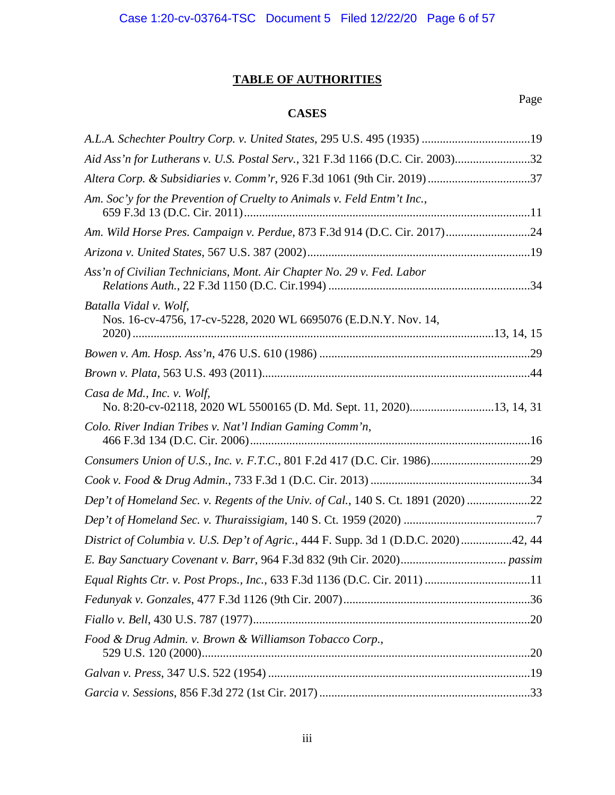# **TABLE OF AUTHORITIES**

# **CASES**

| A.L.A. Schechter Poultry Corp. v. United States, 295 U.S. 495 (1935) 19                            |
|----------------------------------------------------------------------------------------------------|
| Aid Ass'n for Lutherans v. U.S. Postal Serv., 321 F.3d 1166 (D.C. Cir. 2003)32                     |
| Altera Corp. & Subsidiaries v. Comm'r, 926 F.3d 1061 (9th Cir. 2019) 37                            |
| Am. Soc'y for the Prevention of Cruelty to Animals v. Feld Entm't Inc.,                            |
| Am. Wild Horse Pres. Campaign v. Perdue, 873 F.3d 914 (D.C. Cir. 2017)24                           |
|                                                                                                    |
| Ass'n of Civilian Technicians, Mont. Air Chapter No. 29 v. Fed. Labor                              |
| Batalla Vidal v. Wolf,<br>Nos. 16-cv-4756, 17-cv-5228, 2020 WL 6695076 (E.D.N.Y. Nov. 14,          |
|                                                                                                    |
|                                                                                                    |
| Casa de Md., Inc. v. Wolf,<br>No. 8:20-cv-02118, 2020 WL 5500165 (D. Md. Sept. 11, 2020)13, 14, 31 |
| Colo. River Indian Tribes v. Nat'l Indian Gaming Comm'n,                                           |
|                                                                                                    |
|                                                                                                    |
| Dep't of Homeland Sec. v. Regents of the Univ. of Cal., 140 S. Ct. 1891 (2020) 22                  |
|                                                                                                    |
| District of Columbia v. U.S. Dep't of Agric., 444 F. Supp. 3d 1 (D.D.C. 2020)42, 44                |
|                                                                                                    |
| Equal Rights Ctr. v. Post Props., Inc., 633 F.3d 1136 (D.C. Cir. 2011) 11                          |
|                                                                                                    |
|                                                                                                    |
| Food & Drug Admin. v. Brown & Williamson Tobacco Corp.,                                            |
|                                                                                                    |
|                                                                                                    |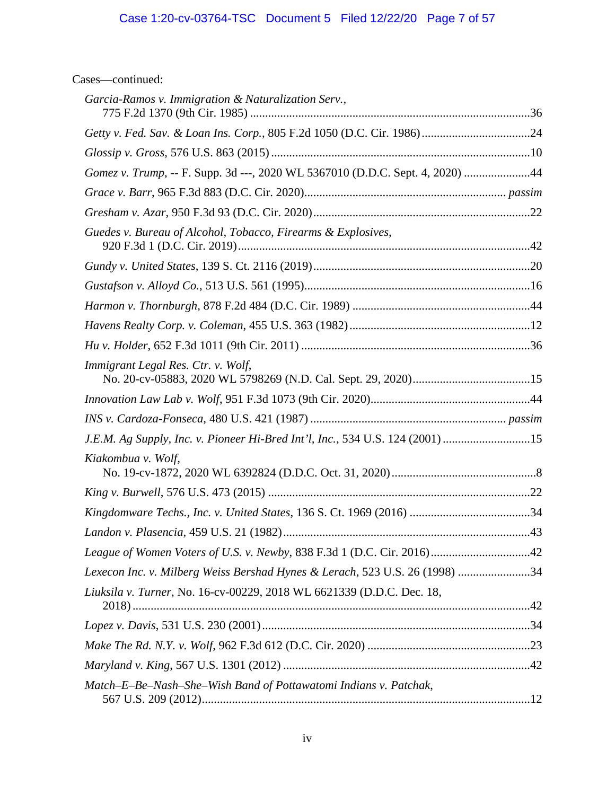# Case 1:20-cv-03764-TSC Document 5 Filed 12/22/20 Page 7 of 57

| Cases—continued: |  |
|------------------|--|
|                  |  |

| Garcia-Ramos v. Immigration & Naturalization Serv.,                           |  |
|-------------------------------------------------------------------------------|--|
|                                                                               |  |
|                                                                               |  |
| Gomez v. Trump, -- F. Supp. 3d ---, 2020 WL 5367010 (D.D.C. Sept. 4, 2020) 44 |  |
|                                                                               |  |
|                                                                               |  |
| Guedes v. Bureau of Alcohol, Tobacco, Firearms & Explosives,                  |  |
|                                                                               |  |
|                                                                               |  |
|                                                                               |  |
|                                                                               |  |
|                                                                               |  |
| Immigrant Legal Res. Ctr. v. Wolf,                                            |  |
|                                                                               |  |
|                                                                               |  |
| J.E.M. Ag Supply, Inc. v. Pioneer Hi-Bred Int'l, Inc., 534 U.S. 124 (2001) 15 |  |
| Kiakombua v. Wolf,                                                            |  |
|                                                                               |  |
|                                                                               |  |
|                                                                               |  |
|                                                                               |  |
| Lexecon Inc. v. Milberg Weiss Bershad Hynes & Lerach, 523 U.S. 26 (1998) 34   |  |
| Liuksila v. Turner, No. 16-cv-00229, 2018 WL 6621339 (D.D.C. Dec. 18,         |  |
|                                                                               |  |
|                                                                               |  |
|                                                                               |  |
| Match-E-Be-Nash-She-Wish Band of Pottawatomi Indians v. Patchak,              |  |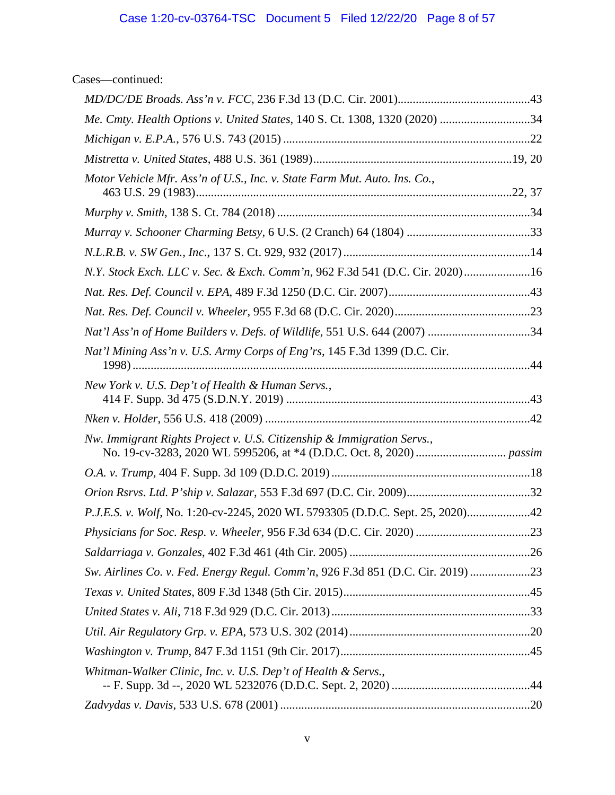Cases—continued:

| Me. Cmty. Health Options v. United States, 140 S. Ct. 1308, 1320 (2020) 34      |  |
|---------------------------------------------------------------------------------|--|
|                                                                                 |  |
|                                                                                 |  |
| Motor Vehicle Mfr. Ass'n of U.S., Inc. v. State Farm Mut. Auto. Ins. Co.,       |  |
|                                                                                 |  |
|                                                                                 |  |
|                                                                                 |  |
| N.Y. Stock Exch. LLC v. Sec. & Exch. Comm'n, 962 F.3d 541 (D.C. Cir. 2020)16    |  |
|                                                                                 |  |
|                                                                                 |  |
| Nat'l Ass'n of Home Builders v. Defs. of Wildlife, 551 U.S. 644 (2007) 34       |  |
| Nat'l Mining Ass'n v. U.S. Army Corps of Eng'rs, 145 F.3d 1399 (D.C. Cir.       |  |
| New York v. U.S. Dep't of Health & Human Servs.,                                |  |
|                                                                                 |  |
| Nw. Immigrant Rights Project v. U.S. Citizenship & Immigration Servs.,          |  |
|                                                                                 |  |
|                                                                                 |  |
| P.J.E.S. v. Wolf, No. 1:20-cv-2245, 2020 WL 5793305 (D.D.C. Sept. 25, 2020)42   |  |
|                                                                                 |  |
|                                                                                 |  |
| Sw. Airlines Co. v. Fed. Energy Regul. Comm'n, 926 F.3d 851 (D.C. Cir. 2019) 23 |  |
|                                                                                 |  |
|                                                                                 |  |
|                                                                                 |  |
|                                                                                 |  |
| Whitman-Walker Clinic, Inc. v. U.S. Dep't of Health & Servs.,                   |  |
|                                                                                 |  |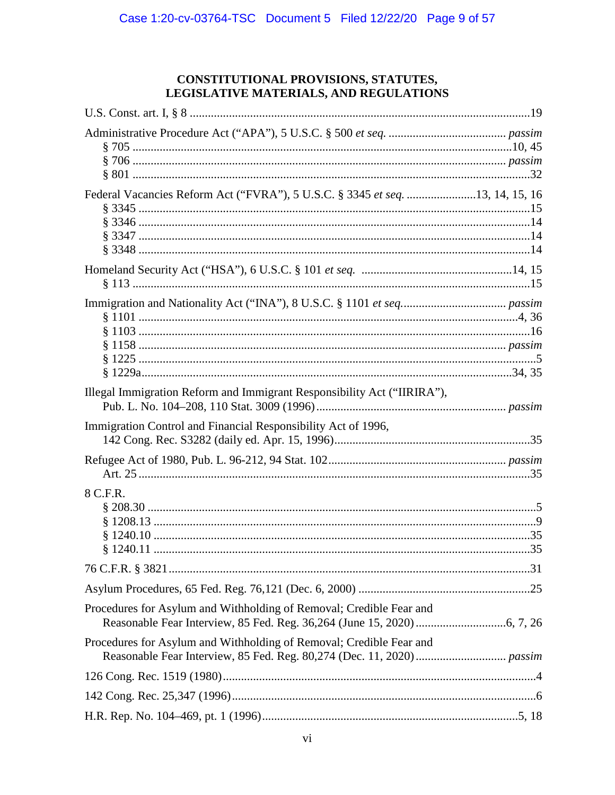# CONSTITUTIONAL PROVISIONS, STATUTES, LEGISLATIVE MATERIALS, AND REGULATIONS

| Federal Vacancies Reform Act ("FVRA"), 5 U.S.C. § 3345 et seq. 13, 14, 15, 16 |  |
|-------------------------------------------------------------------------------|--|
|                                                                               |  |
|                                                                               |  |
| Illegal Immigration Reform and Immigrant Responsibility Act ("IIRIRA"),       |  |
| Immigration Control and Financial Responsibility Act of 1996,                 |  |
|                                                                               |  |
| 8 C.F.R.                                                                      |  |
|                                                                               |  |
|                                                                               |  |
| Procedures for Asylum and Withholding of Removal; Credible Fear and           |  |
| Procedures for Asylum and Withholding of Removal; Credible Fear and           |  |
|                                                                               |  |
|                                                                               |  |
|                                                                               |  |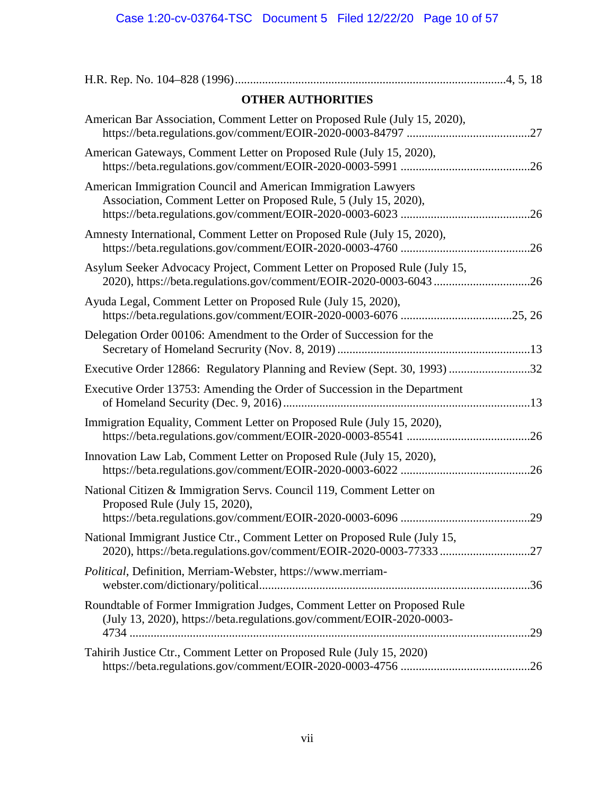| <b>OTHER AUTHORITIES</b>                                                                                                                          |     |
|---------------------------------------------------------------------------------------------------------------------------------------------------|-----|
| American Bar Association, Comment Letter on Proposed Rule (July 15, 2020),                                                                        |     |
| American Gateways, Comment Letter on Proposed Rule (July 15, 2020),                                                                               |     |
| American Immigration Council and American Immigration Lawyers<br>Association, Comment Letter on Proposed Rule, 5 (July 15, 2020),                 |     |
| Amnesty International, Comment Letter on Proposed Rule (July 15, 2020),                                                                           |     |
| Asylum Seeker Advocacy Project, Comment Letter on Proposed Rule (July 15,<br>2020), https://beta.regulations.gov/comment/EOIR-2020-0003-6043 26   |     |
| Ayuda Legal, Comment Letter on Proposed Rule (July 15, 2020),                                                                                     |     |
| Delegation Order 00106: Amendment to the Order of Succession for the                                                                              |     |
| Executive Order 12866: Regulatory Planning and Review (Sept. 30, 1993) 32                                                                         |     |
| Executive Order 13753: Amending the Order of Succession in the Department                                                                         |     |
| Immigration Equality, Comment Letter on Proposed Rule (July 15, 2020),                                                                            |     |
| Innovation Law Lab, Comment Letter on Proposed Rule (July 15, 2020),                                                                              |     |
| National Citizen & Immigration Servs. Council 119, Comment Letter on<br>Proposed Rule (July 15, 2020),                                            |     |
|                                                                                                                                                   | .29 |
| National Immigrant Justice Ctr., Comment Letter on Proposed Rule (July 15,                                                                        |     |
| Political, Definition, Merriam-Webster, https://www.merriam-                                                                                      |     |
| Roundtable of Former Immigration Judges, Comment Letter on Proposed Rule<br>(July 13, 2020), https://beta.regulations.gov/comment/EOIR-2020-0003- |     |
| Tahirih Justice Ctr., Comment Letter on Proposed Rule (July 15, 2020)                                                                             |     |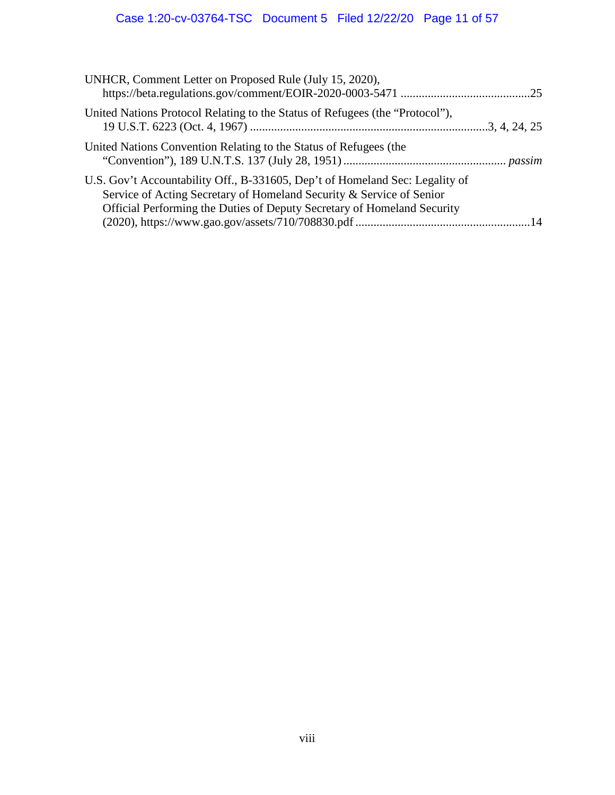# Case 1:20-cv-03764-TSC Document 5 Filed 12/22/20 Page 11 of 57

| UNHCR, Comment Letter on Proposed Rule (July 15, 2020),                                                                                                                                                                         |  |
|---------------------------------------------------------------------------------------------------------------------------------------------------------------------------------------------------------------------------------|--|
| United Nations Protocol Relating to the Status of Refugees (the "Protocol"),                                                                                                                                                    |  |
| United Nations Convention Relating to the Status of Refugees (the                                                                                                                                                               |  |
| U.S. Gov't Accountability Off., B-331605, Dep't of Homeland Sec: Legality of<br>Service of Acting Secretary of Homeland Security & Service of Senior<br>Official Performing the Duties of Deputy Secretary of Homeland Security |  |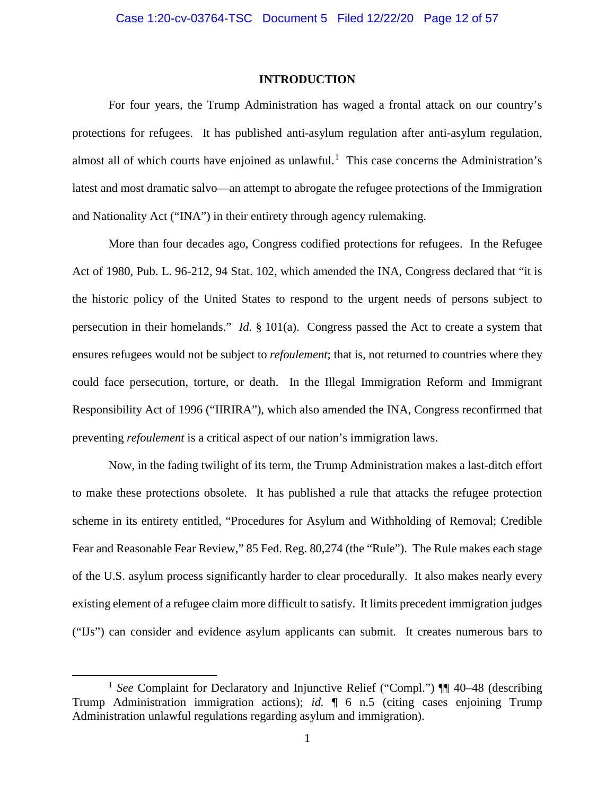### **INTRODUCTION**

For four years, the Trump Administration has waged a frontal attack on our country's protections for refugees. It has published anti-asylum regulation after anti-asylum regulation, almost all of which courts have enjoined as unlawful.<sup>1</sup> This case concerns the Administration's latest and most dramatic salvo—an attempt to abrogate the refugee protections of the Immigration and Nationality Act ("INA") in their entirety through agency rulemaking.

More than four decades ago, Congress codified protections for refugees. In the Refugee Act of 1980, Pub. L. 96-212, 94 Stat. 102, which amended the INA, Congress declared that "it is the historic policy of the United States to respond to the urgent needs of persons subject to persecution in their homelands." *Id.* § 101(a). Congress passed the Act to create a system that ensures refugees would not be subject to *refoulement*; that is, not returned to countries where they could face persecution, torture, or death. In the Illegal Immigration Reform and Immigrant Responsibility Act of 1996 ("IIRIRA"), which also amended the INA, Congress reconfirmed that preventing *refoulement* is a critical aspect of our nation's immigration laws.

Now, in the fading twilight of its term, the Trump Administration makes a last-ditch effort to make these protections obsolete. It has published a rule that attacks the refugee protection scheme in its entirety entitled, "Procedures for Asylum and Withholding of Removal; Credible Fear and Reasonable Fear Review," 85 Fed. Reg. 80,274 (the "Rule").The Rule makes each stage of the U.S. asylum process significantly harder to clear procedurally. It also makes nearly every existing element of a refugee claim more difficult to satisfy. It limits precedent immigration judges ("IJs") can consider and evidence asylum applicants can submit. It creates numerous bars to

<sup>&</sup>lt;sup>1</sup> *See* Complaint for Declaratory and Injunctive Relief ("Compl.") ¶¶ 40–48 (describing Trump Administration immigration actions); *id.* ¶ 6 n.5 (citing cases enjoining Trump Administration unlawful regulations regarding asylum and immigration).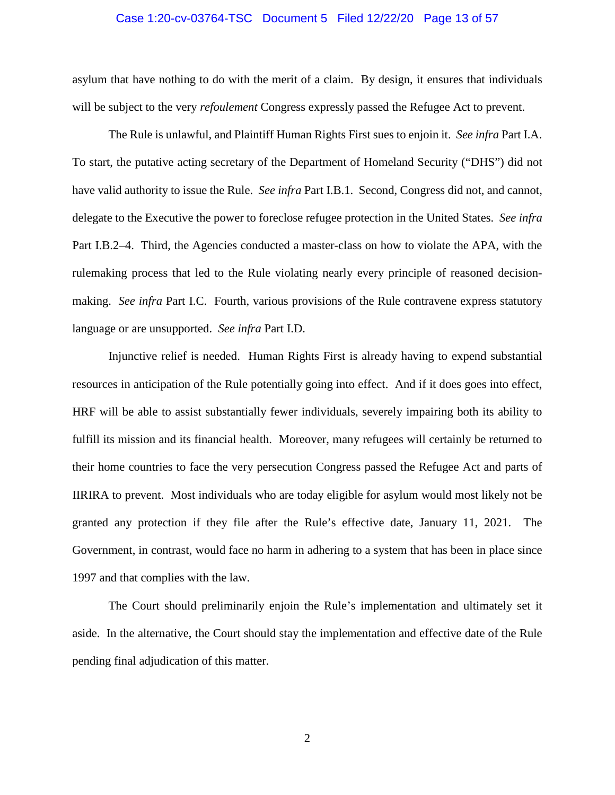#### Case 1:20-cv-03764-TSC Document 5 Filed 12/22/20 Page 13 of 57

asylum that have nothing to do with the merit of a claim. By design, it ensures that individuals will be subject to the very *refoulement* Congress expressly passed the Refugee Act to prevent.

The Rule is unlawful, and Plaintiff Human Rights First sues to enjoin it. *See infra* Part I.A. To start, the putative acting secretary of the Department of Homeland Security ("DHS") did not have valid authority to issue the Rule. *See infra* Part I.B.1. Second, Congress did not, and cannot, delegate to the Executive the power to foreclose refugee protection in the United States. *See infra* Part I.B.2–4. Third, the Agencies conducted a master-class on how to violate the APA, with the rulemaking process that led to the Rule violating nearly every principle of reasoned decisionmaking. *See infra* Part I.C. Fourth, various provisions of the Rule contravene express statutory language or are unsupported. *See infra* Part I.D.

Injunctive relief is needed. Human Rights First is already having to expend substantial resources in anticipation of the Rule potentially going into effect. And if it does goes into effect, HRF will be able to assist substantially fewer individuals, severely impairing both its ability to fulfill its mission and its financial health. Moreover, many refugees will certainly be returned to their home countries to face the very persecution Congress passed the Refugee Act and parts of IIRIRA to prevent. Most individuals who are today eligible for asylum would most likely not be granted any protection if they file after the Rule's effective date, January 11, 2021. The Government, in contrast, would face no harm in adhering to a system that has been in place since 1997 and that complies with the law.

The Court should preliminarily enjoin the Rule's implementation and ultimately set it aside. In the alternative, the Court should stay the implementation and effective date of the Rule pending final adjudication of this matter.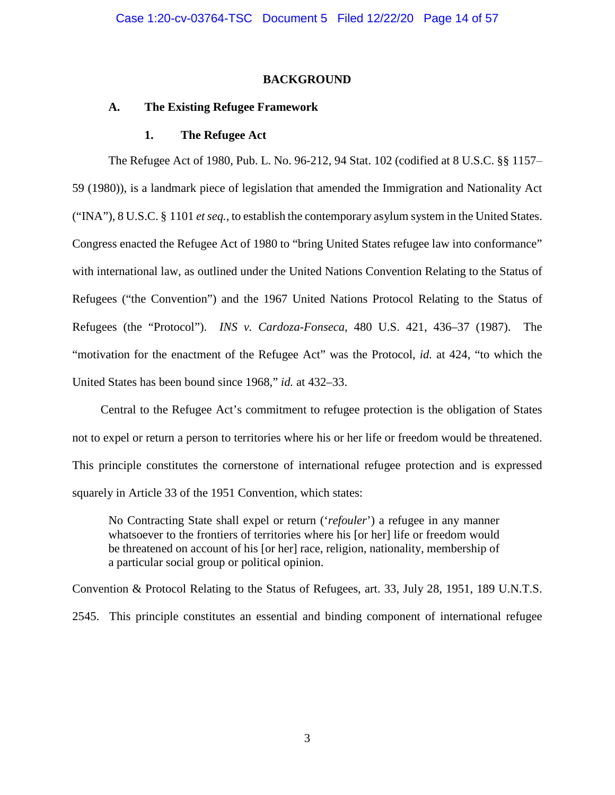#### **BACKGROUND**

#### **A. The Existing Refugee Framework**

#### **1. The Refugee Act**

The Refugee Act of 1980, Pub. L. No. 96-212, 94 Stat. 102 (codified at 8 U.S.C. §§ 1157– 59 (1980)), is a landmark piece of legislation that amended the Immigration and Nationality Act ("INA"), 8 U.S.C. § 1101 *et seq.*, to establish the contemporary asylum system in the United States. Congress enacted the Refugee Act of 1980 to "bring United States refugee law into conformance" with international law, as outlined under the United Nations Convention Relating to the Status of Refugees ("the Convention") and the 1967 United Nations Protocol Relating to the Status of Refugees (the "Protocol"). *INS v. Cardoza-Fonseca*, 480 U.S. 421, 436–37 (1987). The "motivation for the enactment of the Refugee Act" was the Protocol, *id.* at 424, "to which the United States has been bound since 1968," *id.* at 432–33.

Central to the Refugee Act's commitment to refugee protection is the obligation of States not to expel or return a person to territories where his or her life or freedom would be threatened. This principle constitutes the cornerstone of international refugee protection and is expressed squarely in Article 33 of the 1951 Convention, which states:

No Contracting State shall expel or return ('*refouler*') a refugee in any manner whatsoever to the frontiers of territories where his [or her] life or freedom would be threatened on account of his [or her] race, religion, nationality, membership of a particular social group or political opinion.

Convention & Protocol Relating to the Status of Refugees, art. 33, July 28, 1951, 189 U.N.T.S. 2545. This principle constitutes an essential and binding component of international refugee

3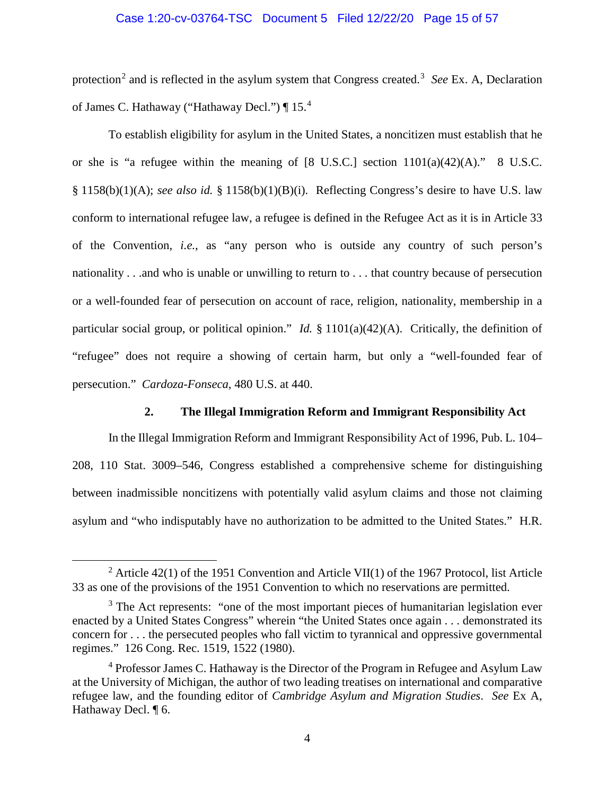# Case 1:20-cv-03764-TSC Document 5 Filed 12/22/20 Page 15 of 57

protection<sup>2</sup> and is reflected in the asylum system that Congress created.<sup>3</sup> See Ex. A, Declaration of James C. Hathaway ("Hathaway Decl.") | 15.<sup>4</sup>

To establish eligibility for asylum in the United States, a noncitizen must establish that he or she is "a refugee within the meaning of  $[8 \text{ U.S.C.}]$  section  $1101(a)(42)(\text{A})$ ." 8 U.S.C. § 1158(b)(1)(A); *see also id.* § 1158(b)(1)(B)(i). Reflecting Congress's desire to have U.S. law conform to international refugee law, a refugee is defined in the Refugee Act as it is in Article 33 of the Convention, *i.e.*, as "any person who is outside any country of such person's nationality . . .and who is unable or unwilling to return to . . . that country because of persecution or a well-founded fear of persecution on account of race, religion, nationality, membership in a particular social group, or political opinion." *Id.* § 1101(a)(42)(A). Critically, the definition of "refugee" does not require a showing of certain harm, but only a "well-founded fear of persecution." *Cardoza-Fonseca*, 480 U.S. at 440.

# **2. The Illegal Immigration Reform and Immigrant Responsibility Act**

In the Illegal Immigration Reform and Immigrant Responsibility Act of 1996, Pub. L. 104– 208, 110 Stat. 3009–546, Congress established a comprehensive scheme for distinguishing between inadmissible noncitizens with potentially valid asylum claims and those not claiming asylum and "who indisputably have no authorization to be admitted to the United States." H.R.

<sup>&</sup>lt;sup>2</sup> Article 42(1) of the 1951 Convention and Article VII(1) of the 1967 Protocol, list Article 33 as one of the provisions of the 1951 Convention to which no reservations are permitted.

 $3$  The Act represents: "one of the most important pieces of humanitarian legislation ever enacted by a United States Congress" wherein "the United States once again . . . demonstrated its concern for . . . the persecuted peoples who fall victim to tyrannical and oppressive governmental regimes." 126 Cong. Rec. 1519, 1522 (1980).

<sup>&</sup>lt;sup>4</sup> Professor James C. Hathaway is the Director of the Program in Refugee and Asylum Law at the University of Michigan, the author of two leading treatises on international and comparative refugee law, and the founding editor of *Cambridge Asylum and Migration Studies*. *See* Ex A, Hathaway Decl. ¶ 6.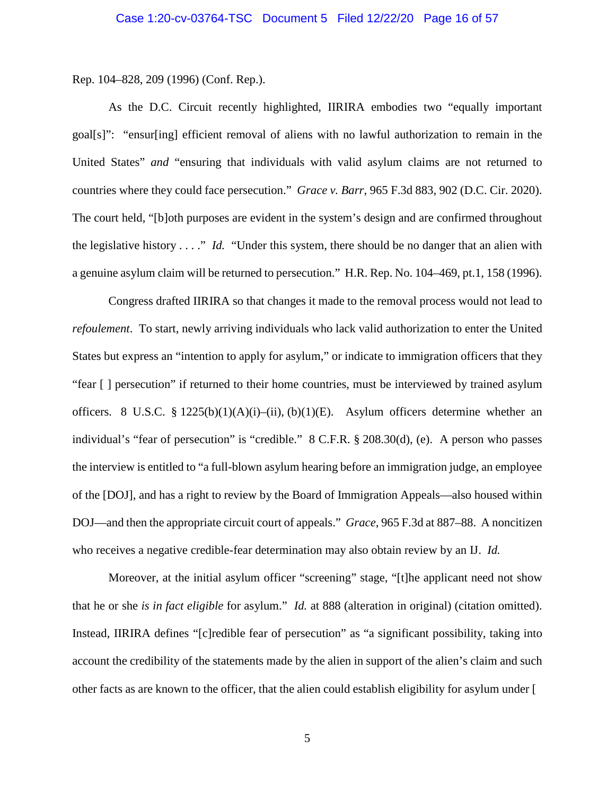Rep. 104–828, 209 (1996) (Conf. Rep.).

As the D.C. Circuit recently highlighted, IIRIRA embodies two "equally important goal[s]": "ensur[ing] efficient removal of aliens with no lawful authorization to remain in the United States" *and* "ensuring that individuals with valid asylum claims are not returned to countries where they could face persecution." *Grace v. Barr*, 965 F.3d 883, 902 (D.C. Cir. 2020). The court held, "[b]oth purposes are evident in the system's design and are confirmed throughout the legislative history . . . ." *Id.* "Under this system, there should be no danger that an alien with a genuine asylum claim will be returned to persecution." H.R. Rep. No. 104–469, pt.1, 158 (1996).

Congress drafted IIRIRA so that changes it made to the removal process would not lead to *refoulement*. To start, newly arriving individuals who lack valid authorization to enter the United States but express an "intention to apply for asylum," or indicate to immigration officers that they "fear [ ] persecution" if returned to their home countries, must be interviewed by trained asylum officers. 8 U.S.C. § 1225(b)(1)(A)(i)–(ii), (b)(1)(E). Asylum officers determine whether an individual's "fear of persecution" is "credible." 8 C.F.R. § 208.30(d), (e). A person who passes the interview is entitled to "a full-blown asylum hearing before an immigration judge, an employee of the [DOJ], and has a right to review by the Board of Immigration Appeals—also housed within DOJ—and then the appropriate circuit court of appeals." *Grace*, 965 F.3d at 887–88. A noncitizen who receives a negative credible-fear determination may also obtain review by an IJ. *Id.* 

Moreover, at the initial asylum officer "screening" stage, "[t]he applicant need not show that he or she *is in fact eligible* for asylum." *Id.* at 888 (alteration in original) (citation omitted). Instead, IIRIRA defines "[c]redible fear of persecution" as "a significant possibility, taking into account the credibility of the statements made by the alien in support of the alien's claim and such other facts as are known to the officer, that the alien could establish eligibility for asylum under [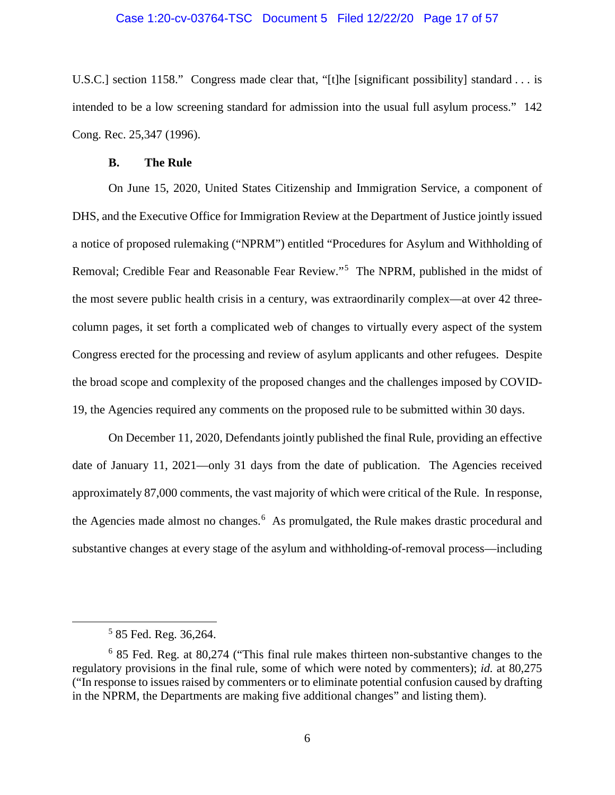#### Case 1:20-cv-03764-TSC Document 5 Filed 12/22/20 Page 17 of 57

U.S.C.] section 1158." Congress made clear that, "[t]he [significant possibility] standard . . . is intended to be a low screening standard for admission into the usual full asylum process." 142 Cong. Rec. 25,347 (1996).

#### **B. The Rule**

On June 15, 2020, United States Citizenship and Immigration Service, a component of DHS, and the Executive Office for Immigration Review at the Department of Justice jointly issued a notice of proposed rulemaking ("NPRM") entitled "Procedures for Asylum and Withholding of Removal; Credible Fear and Reasonable Fear Review."<sup>5</sup> The NPRM, published in the midst of the most severe public health crisis in a century, was extraordinarily complex—at over 42 threecolumn pages, it set forth a complicated web of changes to virtually every aspect of the system Congress erected for the processing and review of asylum applicants and other refugees. Despite the broad scope and complexity of the proposed changes and the challenges imposed by COVID-19, the Agencies required any comments on the proposed rule to be submitted within 30 days.

On December 11, 2020, Defendants jointly published the final Rule, providing an effective date of January 11, 2021—only 31 days from the date of publication. The Agencies received approximately 87,000 comments, the vast majority of which were critical of the Rule. In response, the Agencies made almost no changes.<sup>6</sup> As promulgated, the Rule makes drastic procedural and substantive changes at every stage of the asylum and withholding-of-removal process—including

 <sup>5</sup> 85 Fed. Reg. 36,264.

<sup>6</sup> 85 Fed. Reg. at 80,274 ("This final rule makes thirteen non-substantive changes to the regulatory provisions in the final rule, some of which were noted by commenters); *id.* at 80,275 ("In response to issues raised by commenters or to eliminate potential confusion caused by drafting in the NPRM, the Departments are making five additional changes" and listing them).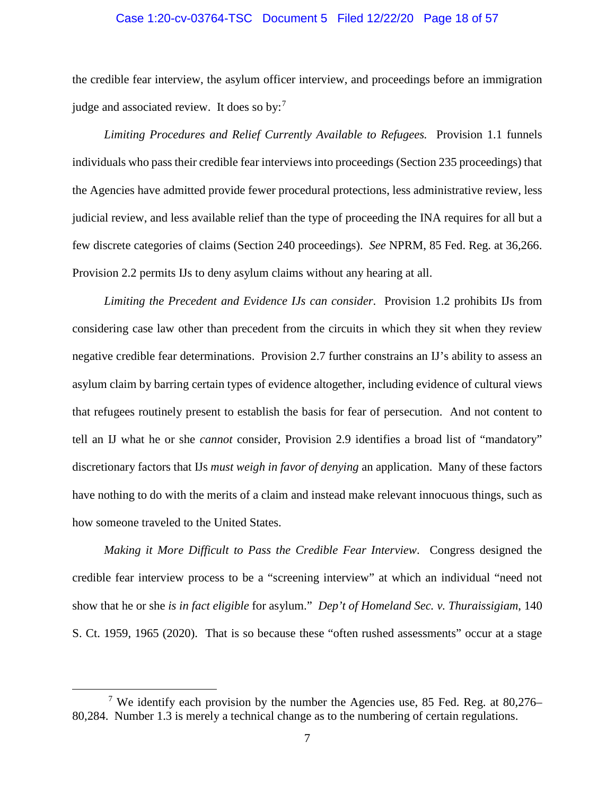#### Case 1:20-cv-03764-TSC Document 5 Filed 12/22/20 Page 18 of 57

the credible fear interview, the asylum officer interview, and proceedings before an immigration judge and associated review. It does so by: $<sup>7</sup>$ </sup>

*Limiting Procedures and Relief Currently Available to Refugees.* Provision 1.1 funnels individuals who pass their credible fear interviews into proceedings (Section 235 proceedings) that the Agencies have admitted provide fewer procedural protections, less administrative review, less judicial review, and less available relief than the type of proceeding the INA requires for all but a few discrete categories of claims (Section 240 proceedings). *See* NPRM, 85 Fed. Reg. at 36,266. Provision 2.2 permits IJs to deny asylum claims without any hearing at all.

*Limiting the Precedent and Evidence IJs can consider*. Provision 1.2 prohibits IJs from considering case law other than precedent from the circuits in which they sit when they review negative credible fear determinations. Provision 2.7 further constrains an IJ's ability to assess an asylum claim by barring certain types of evidence altogether, including evidence of cultural views that refugees routinely present to establish the basis for fear of persecution. And not content to tell an IJ what he or she *cannot* consider, Provision 2.9 identifies a broad list of "mandatory" discretionary factors that IJs *must weigh in favor of denying* an application. Many of these factors have nothing to do with the merits of a claim and instead make relevant innocuous things, such as how someone traveled to the United States.

*Making it More Difficult to Pass the Credible Fear Interview*. Congress designed the credible fear interview process to be a "screening interview" at which an individual "need not show that he or she *is in fact eligible* for asylum." *Dep't of Homeland Sec. v. Thuraissigiam*, 140 S. Ct. 1959, 1965 (2020). That is so because these "often rushed assessments" occur at a stage

<sup>&</sup>lt;sup>7</sup> We identify each provision by the number the Agencies use, 85 Fed. Reg. at 80,276– 80,284. Number 1.3 is merely a technical change as to the numbering of certain regulations.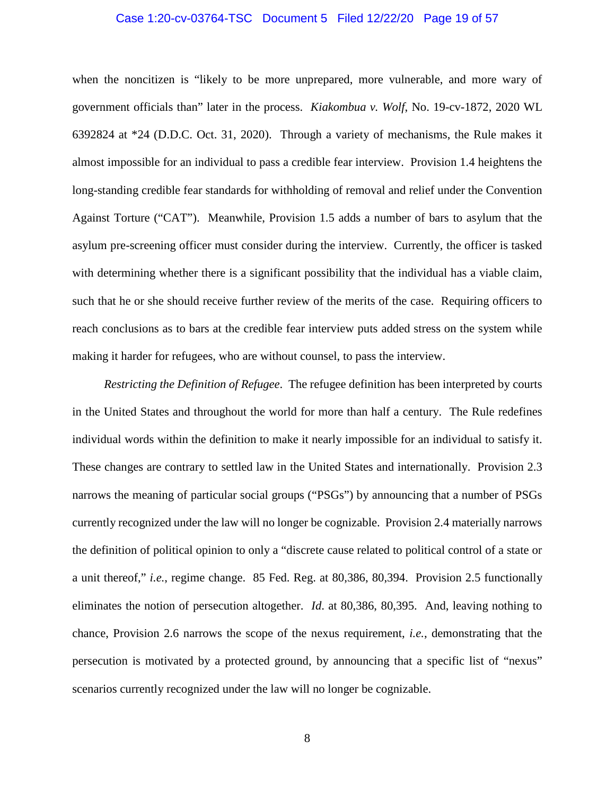#### Case 1:20-cv-03764-TSC Document 5 Filed 12/22/20 Page 19 of 57

when the noncitizen is "likely to be more unprepared, more vulnerable, and more wary of government officials than" later in the process. *Kiakombua v. Wolf*, No. 19-cv-1872, 2020 WL 6392824 at \*24 (D.D.C. Oct. 31, 2020). Through a variety of mechanisms, the Rule makes it almost impossible for an individual to pass a credible fear interview. Provision 1.4 heightens the long-standing credible fear standards for withholding of removal and relief under the Convention Against Torture ("CAT"). Meanwhile, Provision 1.5 adds a number of bars to asylum that the asylum pre-screening officer must consider during the interview. Currently, the officer is tasked with determining whether there is a significant possibility that the individual has a viable claim, such that he or she should receive further review of the merits of the case. Requiring officers to reach conclusions as to bars at the credible fear interview puts added stress on the system while making it harder for refugees, who are without counsel, to pass the interview.

*Restricting the Definition of Refugee*. The refugee definition has been interpreted by courts in the United States and throughout the world for more than half a century. The Rule redefines individual words within the definition to make it nearly impossible for an individual to satisfy it. These changes are contrary to settled law in the United States and internationally. Provision 2.3 narrows the meaning of particular social groups ("PSGs") by announcing that a number of PSGs currently recognized under the law will no longer be cognizable. Provision 2.4 materially narrows the definition of political opinion to only a "discrete cause related to political control of a state or a unit thereof," *i.e.*, regime change. 85 Fed. Reg. at 80,386, 80,394. Provision 2.5 functionally eliminates the notion of persecution altogether. *Id*. at 80,386, 80,395. And, leaving nothing to chance, Provision 2.6 narrows the scope of the nexus requirement, *i.e.*, demonstrating that the persecution is motivated by a protected ground, by announcing that a specific list of "nexus" scenarios currently recognized under the law will no longer be cognizable.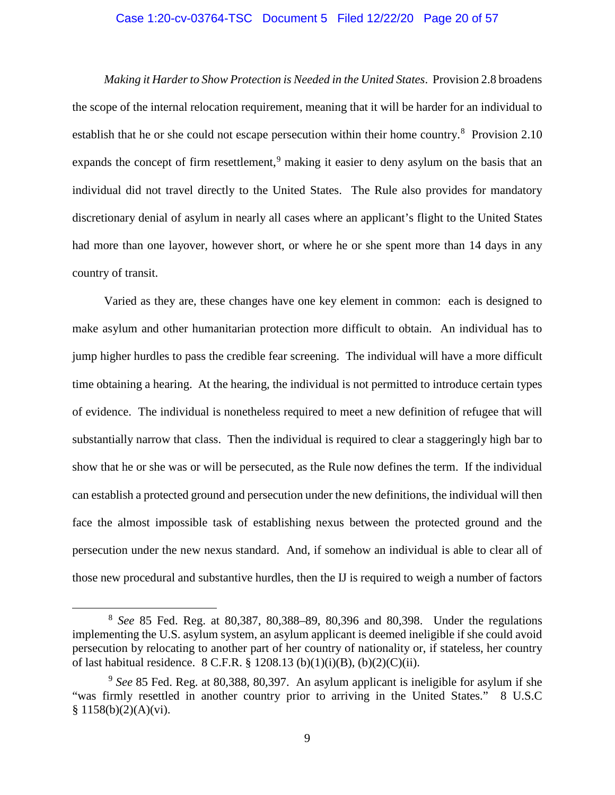#### Case 1:20-cv-03764-TSC Document 5 Filed 12/22/20 Page 20 of 57

*Making it Harder to Show Protection is Needed in the United States*. Provision 2.8 broadens the scope of the internal relocation requirement, meaning that it will be harder for an individual to establish that he or she could not escape persecution within their home country.<sup>8</sup> Provision 2.10 expands the concept of firm resettlement,<sup>9</sup> making it easier to deny asylum on the basis that an individual did not travel directly to the United States. The Rule also provides for mandatory discretionary denial of asylum in nearly all cases where an applicant's flight to the United States had more than one layover, however short, or where he or she spent more than 14 days in any country of transit.

Varied as they are, these changes have one key element in common: each is designed to make asylum and other humanitarian protection more difficult to obtain. An individual has to jump higher hurdles to pass the credible fear screening. The individual will have a more difficult time obtaining a hearing. At the hearing, the individual is not permitted to introduce certain types of evidence. The individual is nonetheless required to meet a new definition of refugee that will substantially narrow that class. Then the individual is required to clear a staggeringly high bar to show that he or she was or will be persecuted, as the Rule now defines the term. If the individual can establish a protected ground and persecution under the new definitions, the individual will then face the almost impossible task of establishing nexus between the protected ground and the persecution under the new nexus standard. And, if somehow an individual is able to clear all of those new procedural and substantive hurdles, then the IJ is required to weigh a number of factors

 <sup>8</sup> *See* 85 Fed. Reg. at 80,387, 80,388–89, 80,396 and 80,398. Under the regulations implementing the U.S. asylum system, an asylum applicant is deemed ineligible if she could avoid persecution by relocating to another part of her country of nationality or, if stateless, her country of last habitual residence. 8 C.F.R. § 1208.13 (b)(1)(i)(B), (b)(2)(C)(ii).

<sup>9</sup> *See* 85 Fed. Reg. at 80,388, 80,397. An asylum applicant is ineligible for asylum if she "was firmly resettled in another country prior to arriving in the United States." 8 U.S.C § 1158(b)(2)(A)(vi).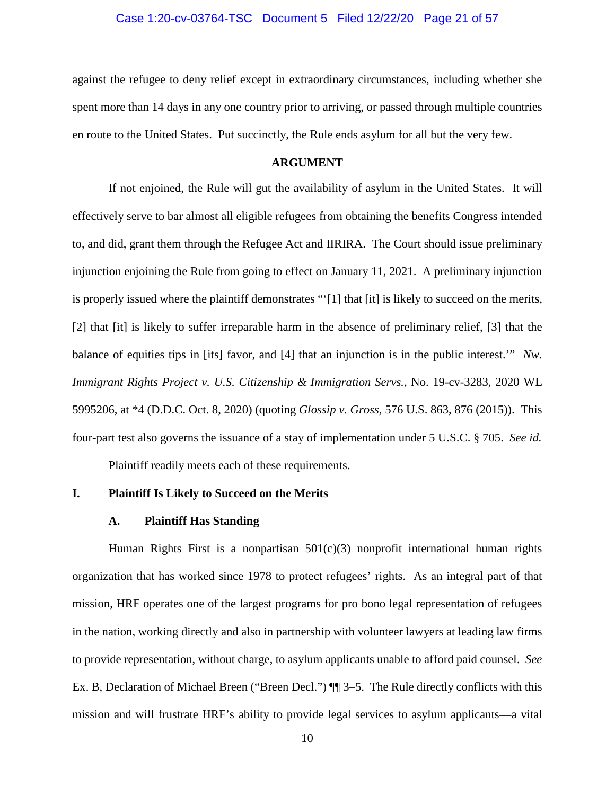#### Case 1:20-cv-03764-TSC Document 5 Filed 12/22/20 Page 21 of 57

against the refugee to deny relief except in extraordinary circumstances, including whether she spent more than 14 days in any one country prior to arriving, or passed through multiple countries en route to the United States. Put succinctly, the Rule ends asylum for all but the very few.

#### **ARGUMENT**

If not enjoined, the Rule will gut the availability of asylum in the United States. It will effectively serve to bar almost all eligible refugees from obtaining the benefits Congress intended to, and did, grant them through the Refugee Act and IIRIRA. The Court should issue preliminary injunction enjoining the Rule from going to effect on January 11, 2021. A preliminary injunction is properly issued where the plaintiff demonstrates "'[1] that [it] is likely to succeed on the merits, [2] that [it] is likely to suffer irreparable harm in the absence of preliminary relief, [3] that the balance of equities tips in [its] favor, and [4] that an injunction is in the public interest.'" *Nw. Immigrant Rights Project v. U.S. Citizenship & Immigration Servs.*, No. 19-cv-3283, 2020 WL 5995206, at \*4 (D.D.C. Oct. 8, 2020) (quoting *Glossip v. Gross*, 576 U.S. 863, 876 (2015)). This four-part test also governs the issuance of a stay of implementation under 5 U.S.C. § 705. *See id.* Plaintiff readily meets each of these requirements.

# **I. Plaintiff Is Likely to Succeed on the Merits**

### **A. Plaintiff Has Standing**

Human Rights First is a nonpartisan  $501(c)(3)$  nonprofit international human rights organization that has worked since 1978 to protect refugees' rights. As an integral part of that mission, HRF operates one of the largest programs for pro bono legal representation of refugees in the nation, working directly and also in partnership with volunteer lawyers at leading law firms to provide representation, without charge, to asylum applicants unable to afford paid counsel. *See*  Ex. B, Declaration of Michael Breen ("Breen Decl.") ¶¶ 3–5. The Rule directly conflicts with this mission and will frustrate HRF's ability to provide legal services to asylum applicants—a vital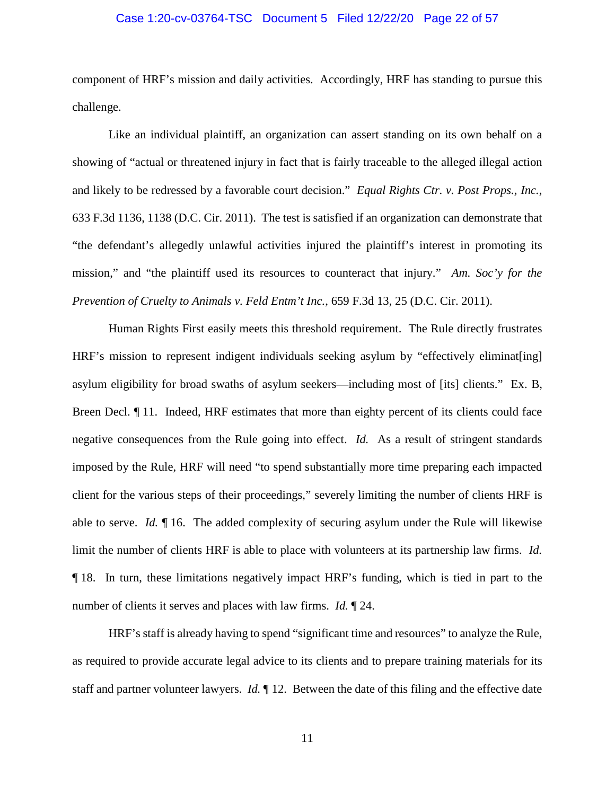#### Case 1:20-cv-03764-TSC Document 5 Filed 12/22/20 Page 22 of 57

component of HRF's mission and daily activities. Accordingly, HRF has standing to pursue this challenge.

Like an individual plaintiff, an organization can assert standing on its own behalf on a showing of "actual or threatened injury in fact that is fairly traceable to the alleged illegal action and likely to be redressed by a favorable court decision." *Equal Rights Ctr. v. Post Props., Inc.*, 633 F.3d 1136, 1138 (D.C. Cir. 2011). The test is satisfied if an organization can demonstrate that "the defendant's allegedly unlawful activities injured the plaintiff's interest in promoting its mission," and "the plaintiff used its resources to counteract that injury." *Am. Soc'y for the Prevention of Cruelty to Animals v. Feld Entm't Inc.*, 659 F.3d 13, 25 (D.C. Cir. 2011).

Human Rights First easily meets this threshold requirement. The Rule directly frustrates HRF's mission to represent indigent individuals seeking asylum by "effectively eliminat [ing] asylum eligibility for broad swaths of asylum seekers—including most of [its] clients." Ex. B, Breen Decl.  $\P$  11. Indeed, HRF estimates that more than eighty percent of its clients could face negative consequences from the Rule going into effect. *Id.* As a result of stringent standards imposed by the Rule, HRF will need "to spend substantially more time preparing each impacted client for the various steps of their proceedings," severely limiting the number of clients HRF is able to serve. *Id.* ¶ 16. The added complexity of securing asylum under the Rule will likewise limit the number of clients HRF is able to place with volunteers at its partnership law firms. *Id.*  ¶ 18. In turn, these limitations negatively impact HRF's funding, which is tied in part to the number of clients it serves and places with law firms. *Id.* ¶ 24.

HRF's staff is already having to spend "significant time and resources" to analyze the Rule, as required to provide accurate legal advice to its clients and to prepare training materials for its staff and partner volunteer lawyers. *Id.* ¶ 12. Between the date of this filing and the effective date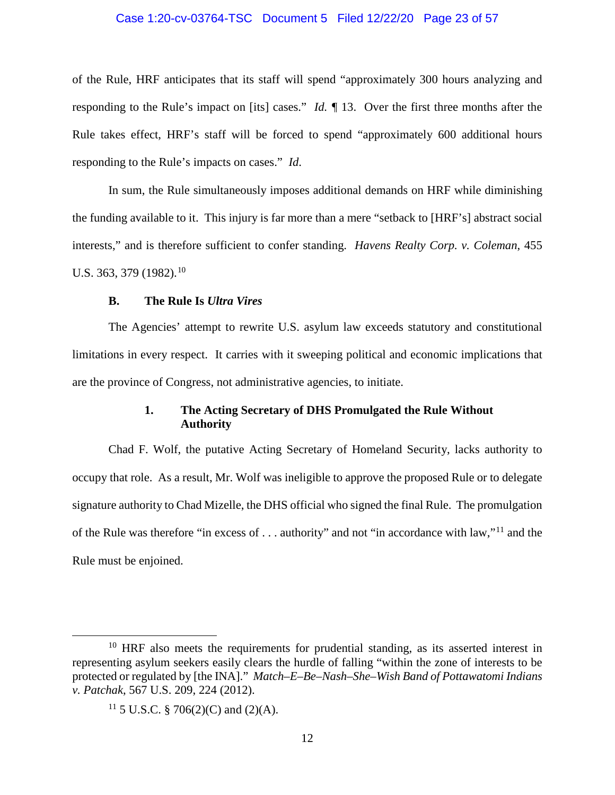#### Case 1:20-cv-03764-TSC Document 5 Filed 12/22/20 Page 23 of 57

of the Rule, HRF anticipates that its staff will spend "approximately 300 hours analyzing and responding to the Rule's impact on [its] cases." *Id. ¶* 13. Over the first three months after the Rule takes effect, HRF's staff will be forced to spend "approximately 600 additional hours responding to the Rule's impacts on cases." *Id*.

In sum, the Rule simultaneously imposes additional demands on HRF while diminishing the funding available to it. This injury is far more than a mere "setback to [HRF's] abstract social interests," and is therefore sufficient to confer standing. *Havens Realty Corp. v. Coleman*, 455 U.S. 363, 379 (1982). 10

## **B. The Rule Is** *Ultra Vires*

The Agencies' attempt to rewrite U.S. asylum law exceeds statutory and constitutional limitations in every respect. It carries with it sweeping political and economic implications that are the province of Congress, not administrative agencies, to initiate.

# **1. The Acting Secretary of DHS Promulgated the Rule Without Authority**

Chad F. Wolf, the putative Acting Secretary of Homeland Security, lacks authority to occupy that role. As a result, Mr. Wolf was ineligible to approve the proposed Rule or to delegate signature authority to Chad Mizelle, the DHS official who signed the final Rule. The promulgation of the Rule was therefore "in excess of . . . authority" and not "in accordance with law,"<sup>11</sup> and the Rule must be enjoined.

 $10$  HRF also meets the requirements for prudential standing, as its asserted interest in representing asylum seekers easily clears the hurdle of falling "within the zone of interests to be protected or regulated by [the INA]." *Match–E–Be–Nash–She–Wish Band of Pottawatomi Indians v. Patchak*, 567 U.S. 209, 224 (2012).

<sup>&</sup>lt;sup>11</sup> 5 U.S.C. § 706(2)(C) and (2)(A).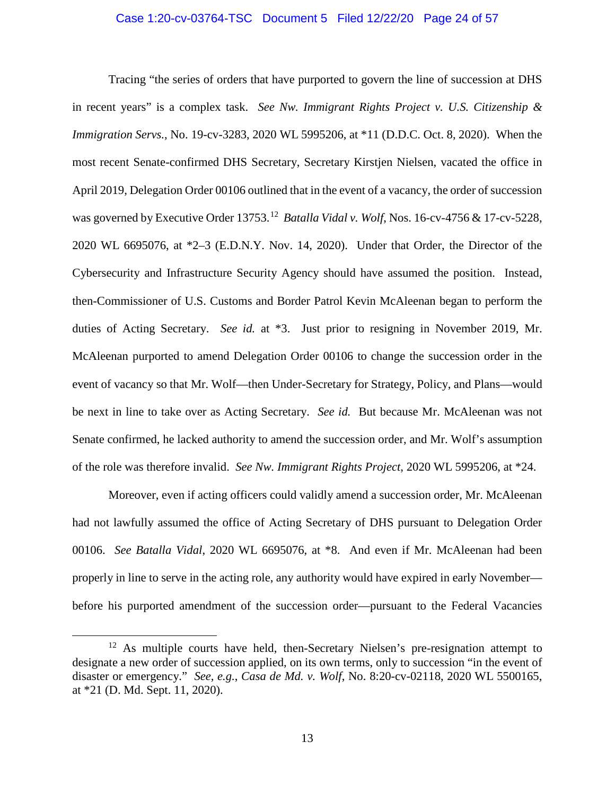#### Case 1:20-cv-03764-TSC Document 5 Filed 12/22/20 Page 24 of 57

Tracing "the series of orders that have purported to govern the line of succession at DHS in recent years" is a complex task. *See Nw. Immigrant Rights Project v. U.S. Citizenship & Immigration Servs.*, No. 19-cv-3283, 2020 WL 5995206, at \*11 (D.D.C. Oct. 8, 2020). When the most recent Senate-confirmed DHS Secretary, Secretary Kirstjen Nielsen, vacated the office in April 2019, Delegation Order 00106 outlined that in the event of a vacancy, the order of succession was governed by Executive Order 13753.12 *Batalla Vidal v. Wolf*, Nos. 16-cv-4756 & 17-cv-5228, 2020 WL 6695076, at \*2–3 (E.D.N.Y. Nov. 14, 2020). Under that Order, the Director of the Cybersecurity and Infrastructure Security Agency should have assumed the position. Instead, then-Commissioner of U.S. Customs and Border Patrol Kevin McAleenan began to perform the duties of Acting Secretary. *See id.* at \*3. Just prior to resigning in November 2019, Mr. McAleenan purported to amend Delegation Order 00106 to change the succession order in the event of vacancy so that Mr. Wolf—then Under-Secretary for Strategy, Policy, and Plans—would be next in line to take over as Acting Secretary. *See id.* But because Mr. McAleenan was not Senate confirmed, he lacked authority to amend the succession order, and Mr. Wolf's assumption of the role was therefore invalid. *See Nw. Immigrant Rights Project*, 2020 WL 5995206, at \*24.

Moreover, even if acting officers could validly amend a succession order, Mr. McAleenan had not lawfully assumed the office of Acting Secretary of DHS pursuant to Delegation Order 00106. *See Batalla Vidal*, 2020 WL 6695076, at \*8. And even if Mr. McAleenan had been properly in line to serve in the acting role, any authority would have expired in early November before his purported amendment of the succession order—pursuant to the Federal Vacancies

<sup>&</sup>lt;sup>12</sup> As multiple courts have held, then-Secretary Nielsen's pre-resignation attempt to designate a new order of succession applied, on its own terms, only to succession "in the event of disaster or emergency." *See, e.g.*, *Casa de Md. v. Wolf*, No. 8:20-cv-02118, 2020 WL 5500165, at \*21 (D. Md. Sept. 11, 2020).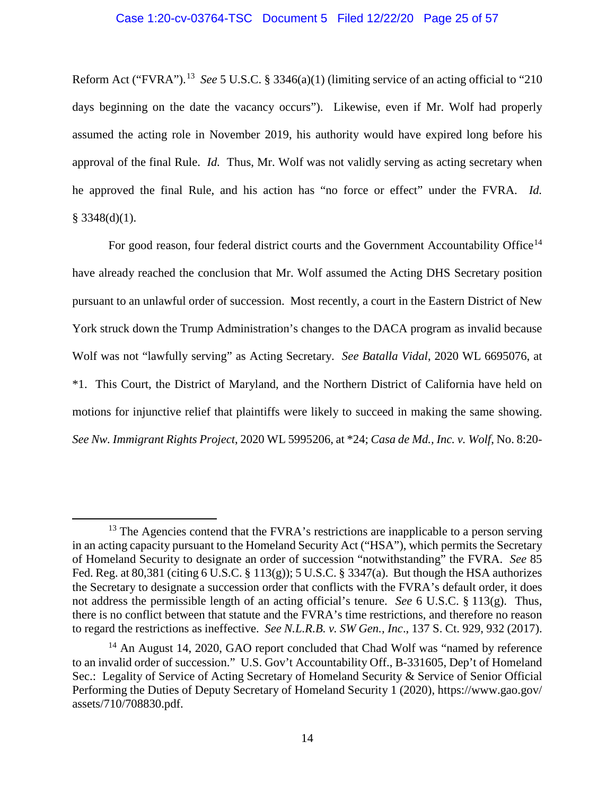#### Case 1:20-cv-03764-TSC Document 5 Filed 12/22/20 Page 25 of 57

Reform Act ("FVRA").13 *See* 5 U.S.C. § 3346(a)(1) (limiting service of an acting official to "210 days beginning on the date the vacancy occurs"). Likewise, even if Mr. Wolf had properly assumed the acting role in November 2019, his authority would have expired long before his approval of the final Rule. *Id.* Thus, Mr. Wolf was not validly serving as acting secretary when he approved the final Rule, and his action has "no force or effect" under the FVRA. *Id.*   $§$  3348(d)(1).

For good reason, four federal district courts and the Government Accountability Office<sup>14</sup> have already reached the conclusion that Mr. Wolf assumed the Acting DHS Secretary position pursuant to an unlawful order of succession. Most recently, a court in the Eastern District of New York struck down the Trump Administration's changes to the DACA program as invalid because Wolf was not "lawfully serving" as Acting Secretary. *See Batalla Vidal*, 2020 WL 6695076, at \*1. This Court, the District of Maryland, and the Northern District of California have held on motions for injunctive relief that plaintiffs were likely to succeed in making the same showing. *See Nw. Immigrant Rights Project*, 2020 WL 5995206, at \*24; *Casa de Md., Inc. v. Wolf*, No. 8:20-

 $13$  The Agencies contend that the FVRA's restrictions are inapplicable to a person serving in an acting capacity pursuant to the Homeland Security Act ("HSA"), which permits the Secretary of Homeland Security to designate an order of succession "notwithstanding" the FVRA. *See* 85 Fed. Reg. at 80,381 (citing 6 U.S.C. § 113(g)); 5 U.S.C. § 3347(a). But though the HSA authorizes the Secretary to designate a succession order that conflicts with the FVRA's default order, it does not address the permissible length of an acting official's tenure. *See* 6 U.S.C. § 113(g). Thus, there is no conflict between that statute and the FVRA's time restrictions, and therefore no reason to regard the restrictions as ineffective. *See N.L.R.B. v. SW Gen., Inc*., 137 S. Ct. 929, 932 (2017).

<sup>&</sup>lt;sup>14</sup> An August 14, 2020, GAO report concluded that Chad Wolf was "named by reference to an invalid order of succession." U.S. Gov't Accountability Off., B-331605, Dep't of Homeland Sec.: Legality of Service of Acting Secretary of Homeland Security & Service of Senior Official Performing the Duties of Deputy Secretary of Homeland Security 1 (2020), https://www.gao.gov/ assets/710/708830.pdf.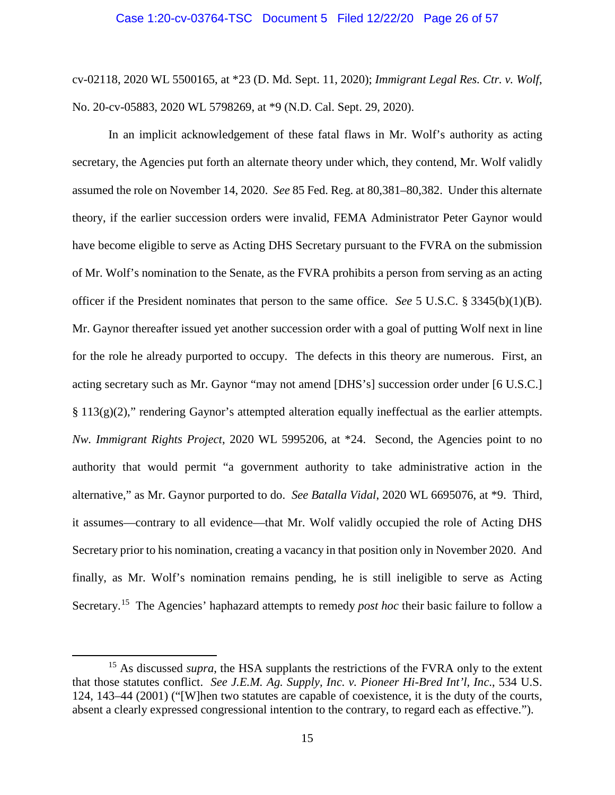#### Case 1:20-cv-03764-TSC Document 5 Filed 12/22/20 Page 26 of 57

cv-02118, 2020 WL 5500165, at \*23 (D. Md. Sept. 11, 2020); *Immigrant Legal Res. Ctr. v. Wolf*, No. 20-cv-05883, 2020 WL 5798269, at \*9 (N.D. Cal. Sept. 29, 2020).

In an implicit acknowledgement of these fatal flaws in Mr. Wolf's authority as acting secretary, the Agencies put forth an alternate theory under which, they contend, Mr. Wolf validly assumed the role on November 14, 2020. *See* 85 Fed. Reg. at 80,381–80,382. Under this alternate theory, if the earlier succession orders were invalid, FEMA Administrator Peter Gaynor would have become eligible to serve as Acting DHS Secretary pursuant to the FVRA on the submission of Mr. Wolf's nomination to the Senate, as the FVRA prohibits a person from serving as an acting officer if the President nominates that person to the same office. *See* 5 U.S.C. § 3345(b)(1)(B). Mr. Gaynor thereafter issued yet another succession order with a goal of putting Wolf next in line for the role he already purported to occupy. The defects in this theory are numerous. First, an acting secretary such as Mr. Gaynor "may not amend [DHS's] succession order under [6 U.S.C.]  $§ 113(g)(2)$ ," rendering Gaynor's attempted alteration equally ineffectual as the earlier attempts. *Nw. Immigrant Rights Project*, 2020 WL 5995206, at \*24. Second, the Agencies point to no authority that would permit "a government authority to take administrative action in the alternative," as Mr. Gaynor purported to do. *See Batalla Vidal*, 2020 WL 6695076, at \*9. Third, it assumes—contrary to all evidence—that Mr. Wolf validly occupied the role of Acting DHS Secretary prior to his nomination, creating a vacancy in that position only in November 2020. And finally, as Mr. Wolf's nomination remains pending, he is still ineligible to serve as Acting Secretary.15 The Agencies' haphazard attempts to remedy *post hoc* their basic failure to follow a

<sup>&</sup>lt;sup>15</sup> As discussed *supra*, the HSA supplants the restrictions of the FVRA only to the extent that those statutes conflict. *See J.E.M. Ag. Supply, Inc. v. Pioneer Hi-Bred Int'l, Inc*., 534 U.S. 124, 143–44 (2001) ("[W]hen two statutes are capable of coexistence, it is the duty of the courts, absent a clearly expressed congressional intention to the contrary, to regard each as effective.").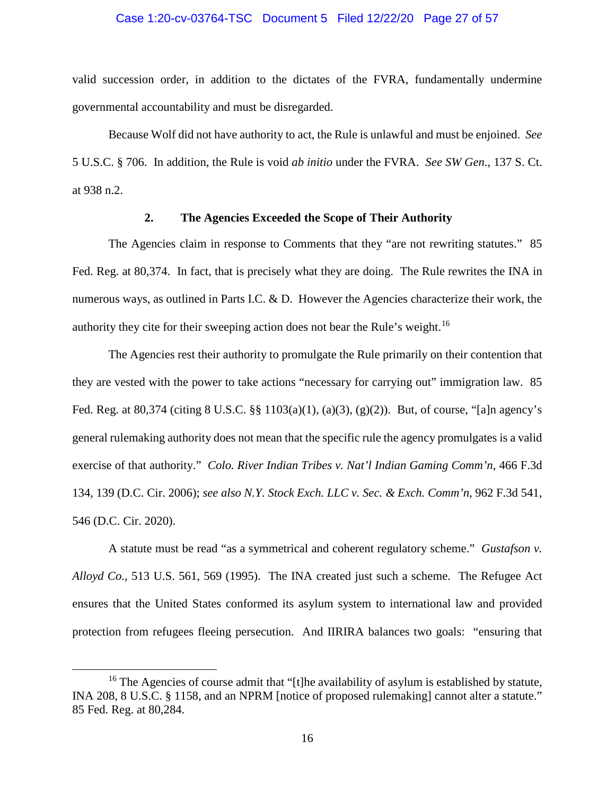#### Case 1:20-cv-03764-TSC Document 5 Filed 12/22/20 Page 27 of 57

valid succession order, in addition to the dictates of the FVRA, fundamentally undermine governmental accountability and must be disregarded.

Because Wolf did not have authority to act, the Rule is unlawful and must be enjoined. *See*  5 U.S.C. § 706. In addition, the Rule is void *ab initio* under the FVRA. *See SW Gen*., 137 S. Ct. at 938 n.2.

### **2. The Agencies Exceeded the Scope of Their Authority**

The Agencies claim in response to Comments that they "are not rewriting statutes." 85 Fed. Reg. at 80,374. In fact, that is precisely what they are doing. The Rule rewrites the INA in numerous ways, as outlined in Parts I.C. & D. However the Agencies characterize their work, the authority they cite for their sweeping action does not bear the Rule's weight. 16

The Agencies rest their authority to promulgate the Rule primarily on their contention that they are vested with the power to take actions "necessary for carrying out" immigration law. 85 Fed. Reg. at 80,374 (citing 8 U.S.C. §§ 1103(a)(1), (a)(3), (g)(2)). But, of course, "[a]n agency's general rulemaking authority does not mean that the specific rule the agency promulgates is a valid exercise of that authority." *Colo. River Indian Tribes v. Nat'l Indian Gaming Comm'n*, 466 F.3d 134, 139 (D.C. Cir. 2006); *see also N.Y. Stock Exch. LLC v. Sec. & Exch. Comm'n*, 962 F.3d 541, 546 (D.C. Cir. 2020).

A statute must be read "as a symmetrical and coherent regulatory scheme." *Gustafson v. Alloyd Co.*, 513 U.S. 561, 569 (1995). The INA created just such a scheme. The Refugee Act ensures that the United States conformed its asylum system to international law and provided protection from refugees fleeing persecution. And IIRIRA balances two goals: "ensuring that

<sup>&</sup>lt;sup>16</sup> The Agencies of course admit that "[t]he availability of asylum is established by statute, INA 208, 8 U.S.C. § 1158, and an NPRM [notice of proposed rulemaking] cannot alter a statute." 85 Fed. Reg. at 80,284.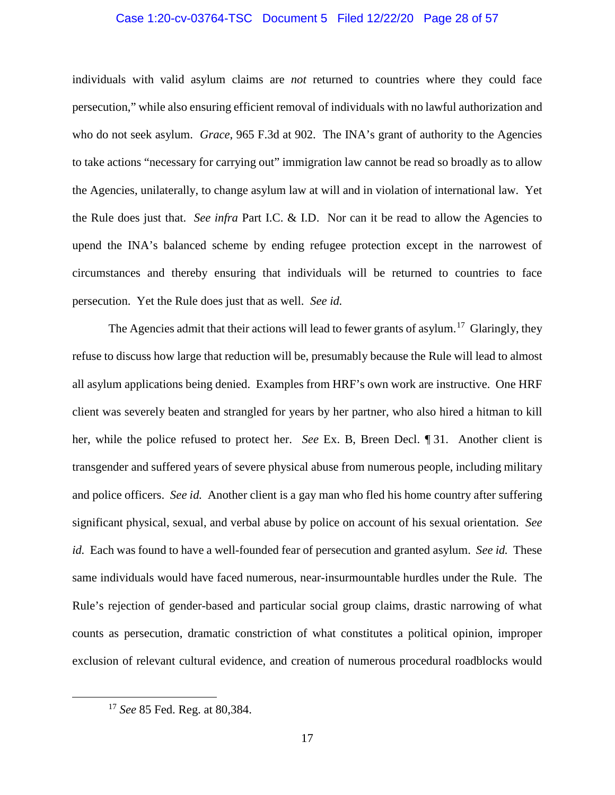#### Case 1:20-cv-03764-TSC Document 5 Filed 12/22/20 Page 28 of 57

individuals with valid asylum claims are *not* returned to countries where they could face persecution," while also ensuring efficient removal of individuals with no lawful authorization and who do not seek asylum. *Grace*, 965 F.3d at 902. The INA's grant of authority to the Agencies to take actions "necessary for carrying out" immigration law cannot be read so broadly as to allow the Agencies, unilaterally, to change asylum law at will and in violation of international law. Yet the Rule does just that. *See infra* Part I.C. & I.D. Nor can it be read to allow the Agencies to upend the INA's balanced scheme by ending refugee protection except in the narrowest of circumstances and thereby ensuring that individuals will be returned to countries to face persecution. Yet the Rule does just that as well. *See id.*

The Agencies admit that their actions will lead to fewer grants of asylum.<sup>17</sup> Glaringly, they refuse to discuss how large that reduction will be, presumably because the Rule will lead to almost all asylum applications being denied. Examples from HRF's own work are instructive. One HRF client was severely beaten and strangled for years by her partner, who also hired a hitman to kill her, while the police refused to protect her. *See* Ex. B, Breen Decl. ¶ 31. Another client is transgender and suffered years of severe physical abuse from numerous people, including military and police officers. *See id.* Another client is a gay man who fled his home country after suffering significant physical, sexual, and verbal abuse by police on account of his sexual orientation. *See id.* Each was found to have a well-founded fear of persecution and granted asylum. *See id.* These same individuals would have faced numerous, near-insurmountable hurdles under the Rule. The Rule's rejection of gender-based and particular social group claims, drastic narrowing of what counts as persecution, dramatic constriction of what constitutes a political opinion, improper exclusion of relevant cultural evidence, and creation of numerous procedural roadblocks would

 <sup>17</sup> *See* 85 Fed. Reg. at 80,384.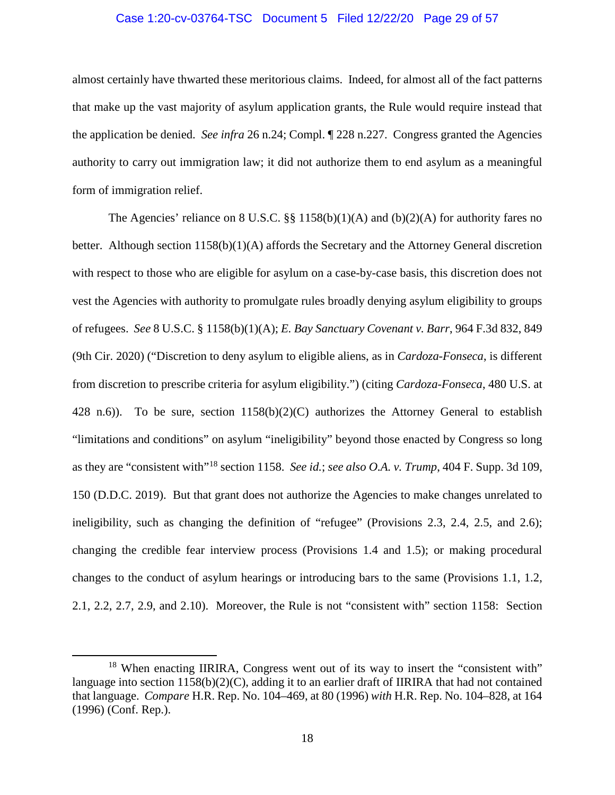#### Case 1:20-cv-03764-TSC Document 5 Filed 12/22/20 Page 29 of 57

almost certainly have thwarted these meritorious claims. Indeed, for almost all of the fact patterns that make up the vast majority of asylum application grants, the Rule would require instead that the application be denied. *See infra* 26 n.24; Compl. ¶ 228 n.227. Congress granted the Agencies authority to carry out immigration law; it did not authorize them to end asylum as a meaningful form of immigration relief.

The Agencies' reliance on 8 U.S.C.  $\S$  1158(b)(1)(A) and (b)(2)(A) for authority fares no better. Although section 1158(b)(1)(A) affords the Secretary and the Attorney General discretion with respect to those who are eligible for asylum on a case-by-case basis, this discretion does not vest the Agencies with authority to promulgate rules broadly denying asylum eligibility to groups of refugees. *See* 8 U.S.C. § 1158(b)(1)(A); *E. Bay Sanctuary Covenant v. Barr*, 964 F.3d 832, 849 (9th Cir. 2020) ("Discretion to deny asylum to eligible aliens, as in *Cardoza-Fonseca*, is different from discretion to prescribe criteria for asylum eligibility.") (citing *Cardoza-Fonseca*, 480 U.S. at 428 n.6)). To be sure, section  $1158(b)(2)(C)$  authorizes the Attorney General to establish "limitations and conditions" on asylum "ineligibility" beyond those enacted by Congress so long as they are "consistent with"<sup>18</sup> section 1158. *See id.*; *see also O.A. v. Trump*, 404 F. Supp. 3d 109, 150 (D.D.C. 2019). But that grant does not authorize the Agencies to make changes unrelated to ineligibility, such as changing the definition of "refugee" (Provisions 2.3, 2.4, 2.5, and 2.6); changing the credible fear interview process (Provisions 1.4 and 1.5); or making procedural changes to the conduct of asylum hearings or introducing bars to the same (Provisions 1.1, 1.2, 2.1, 2.2, 2.7, 2.9, and 2.10). Moreover, the Rule is not "consistent with" section 1158: Section

<sup>&</sup>lt;sup>18</sup> When enacting IIRIRA, Congress went out of its way to insert the "consistent with" language into section  $1158(b)(2)(C)$ , adding it to an earlier draft of IIRIRA that had not contained that language. *Compare* H.R. Rep. No. 104–469, at 80 (1996) *with* H.R. Rep. No. 104–828, at 164 (1996) (Conf. Rep.).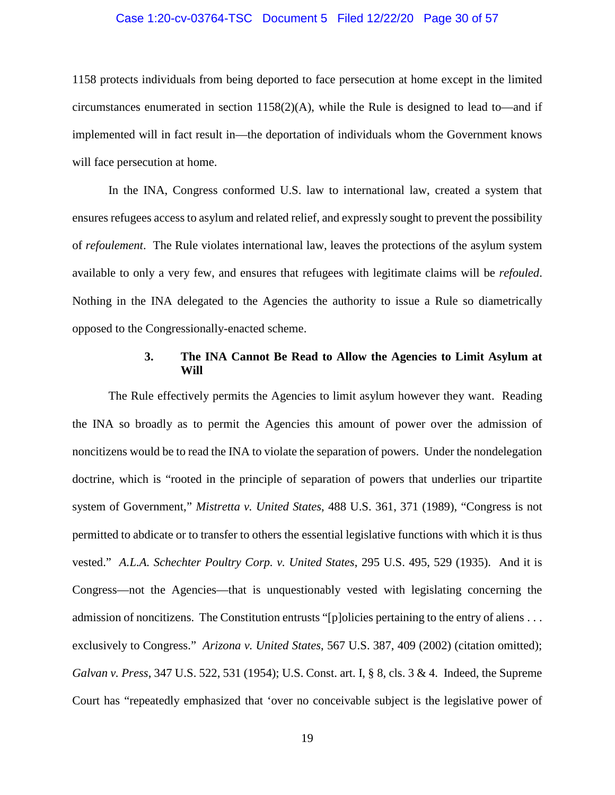#### Case 1:20-cv-03764-TSC Document 5 Filed 12/22/20 Page 30 of 57

1158 protects individuals from being deported to face persecution at home except in the limited circumstances enumerated in section 1158(2)(A), while the Rule is designed to lead to—and if implemented will in fact result in—the deportation of individuals whom the Government knows will face persecution at home.

In the INA, Congress conformed U.S. law to international law, created a system that ensures refugees access to asylum and related relief, and expressly sought to prevent the possibility of *refoulement*. The Rule violates international law, leaves the protections of the asylum system available to only a very few, and ensures that refugees with legitimate claims will be *refouled*. Nothing in the INA delegated to the Agencies the authority to issue a Rule so diametrically opposed to the Congressionally-enacted scheme.

### **3. The INA Cannot Be Read to Allow the Agencies to Limit Asylum at Will**

The Rule effectively permits the Agencies to limit asylum however they want. Reading the INA so broadly as to permit the Agencies this amount of power over the admission of noncitizens would be to read the INA to violate the separation of powers. Under the nondelegation doctrine, which is "rooted in the principle of separation of powers that underlies our tripartite system of Government," *Mistretta v. United States*, 488 U.S. 361, 371 (1989), "Congress is not permitted to abdicate or to transfer to others the essential legislative functions with which it is thus vested." *A.L.A. Schechter Poultry Corp. v. United States*, 295 U.S. 495, 529 (1935). And it is Congress—not the Agencies—that is unquestionably vested with legislating concerning the admission of noncitizens. The Constitution entrusts "[p]olicies pertaining to the entry of aliens . . . exclusively to Congress." *Arizona v. United States*, 567 U.S. 387, 409 (2002) (citation omitted); *Galvan v. Press*, 347 U.S. 522, 531 (1954); U.S. Const. art. I, § 8, cls. 3 & 4. Indeed, the Supreme Court has "repeatedly emphasized that 'over no conceivable subject is the legislative power of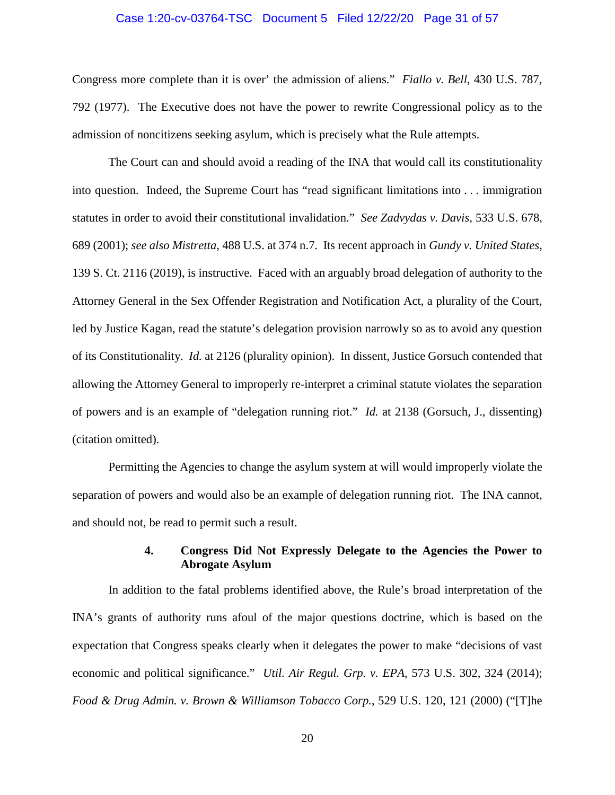#### Case 1:20-cv-03764-TSC Document 5 Filed 12/22/20 Page 31 of 57

Congress more complete than it is over' the admission of aliens." *Fiallo v. Bell*, 430 U.S. 787, 792 (1977). The Executive does not have the power to rewrite Congressional policy as to the admission of noncitizens seeking asylum, which is precisely what the Rule attempts.

The Court can and should avoid a reading of the INA that would call its constitutionality into question. Indeed, the Supreme Court has "read significant limitations into . . . immigration statutes in order to avoid their constitutional invalidation." *See Zadvydas v. Davis*, 533 U.S. 678, 689 (2001); *see also Mistretta*, 488 U.S. at 374 n.7. Its recent approach in *Gundy v. United States*, 139 S. Ct. 2116 (2019), is instructive. Faced with an arguably broad delegation of authority to the Attorney General in the Sex Offender Registration and Notification Act, a plurality of the Court, led by Justice Kagan, read the statute's delegation provision narrowly so as to avoid any question of its Constitutionality. *Id.* at 2126 (plurality opinion). In dissent, Justice Gorsuch contended that allowing the Attorney General to improperly re-interpret a criminal statute violates the separation of powers and is an example of "delegation running riot." *Id.* at 2138 (Gorsuch, J., dissenting) (citation omitted).

Permitting the Agencies to change the asylum system at will would improperly violate the separation of powers and would also be an example of delegation running riot. The INA cannot, and should not, be read to permit such a result.

# **4. Congress Did Not Expressly Delegate to the Agencies the Power to Abrogate Asylum**

In addition to the fatal problems identified above, the Rule's broad interpretation of the INA's grants of authority runs afoul of the major questions doctrine, which is based on the expectation that Congress speaks clearly when it delegates the power to make "decisions of vast economic and political significance." *Util. Air Regul. Grp. v. EPA*, 573 U.S. 302, 324 (2014); *Food & Drug Admin. v. Brown & Williamson Tobacco Corp.*, 529 U.S. 120, 121 (2000) ("[T]he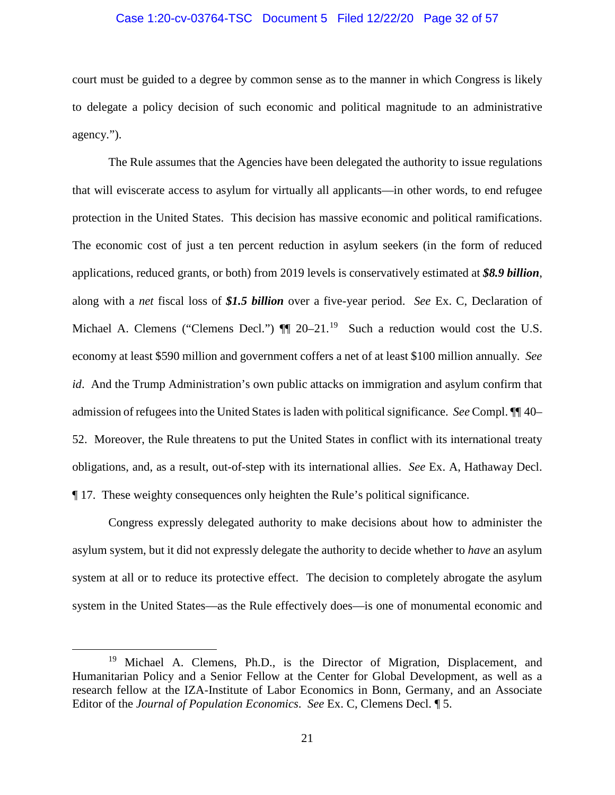#### Case 1:20-cv-03764-TSC Document 5 Filed 12/22/20 Page 32 of 57

court must be guided to a degree by common sense as to the manner in which Congress is likely to delegate a policy decision of such economic and political magnitude to an administrative agency.").

The Rule assumes that the Agencies have been delegated the authority to issue regulations that will eviscerate access to asylum for virtually all applicants—in other words, to end refugee protection in the United States. This decision has massive economic and political ramifications. The economic cost of just a ten percent reduction in asylum seekers (in the form of reduced applications, reduced grants, or both) from 2019 levels is conservatively estimated at *\$8.9 billion*, along with a *net* fiscal loss of *\$1.5 billion* over a five-year period. *See* Ex. C, Declaration of Michael A. Clemens ("Clemens Decl.")  $\P$  20–21.<sup>19</sup> Such a reduction would cost the U.S. economy at least \$590 million and government coffers a net of at least \$100 million annually. *See id*. And the Trump Administration's own public attacks on immigration and asylum confirm that admission of refugees into the United States is laden with political significance. *See* Compl. ¶¶ 40– 52. Moreover, the Rule threatens to put the United States in conflict with its international treaty obligations, and, as a result, out-of-step with its international allies. *See* Ex. A, Hathaway Decl. ¶ 17. These weighty consequences only heighten the Rule's political significance.

Congress expressly delegated authority to make decisions about how to administer the asylum system, but it did not expressly delegate the authority to decide whether to *have* an asylum system at all or to reduce its protective effect. The decision to completely abrogate the asylum system in the United States—as the Rule effectively does—is one of monumental economic and

<sup>&</sup>lt;sup>19</sup> Michael A. Clemens, Ph.D., is the Director of Migration, Displacement, and Humanitarian Policy and a Senior Fellow at the Center for Global Development, as well as a research fellow at the IZA-Institute of Labor Economics in Bonn, Germany, and an Associate Editor of the *Journal of Population Economics*. *See* Ex. C, Clemens Decl. ¶ 5.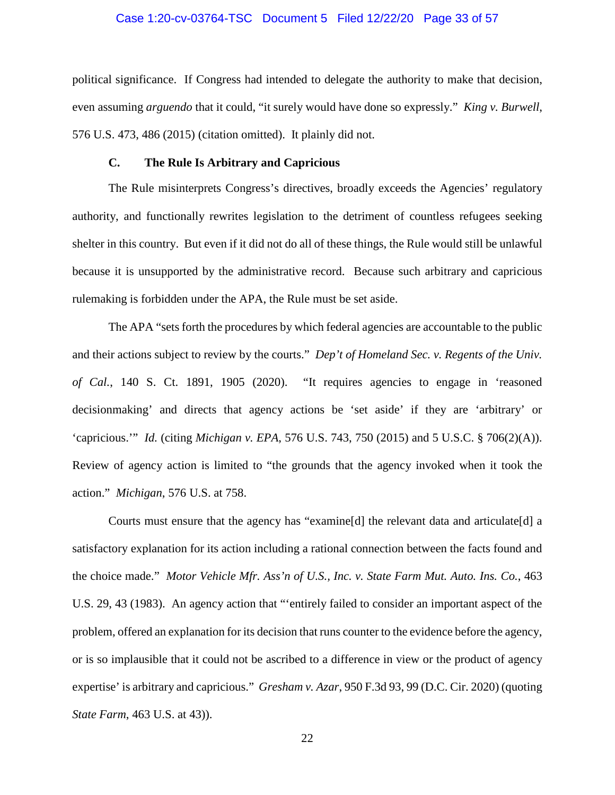#### Case 1:20-cv-03764-TSC Document 5 Filed 12/22/20 Page 33 of 57

political significance. If Congress had intended to delegate the authority to make that decision, even assuming *arguendo* that it could, "it surely would have done so expressly." *King v. Burwell*, 576 U.S. 473, 486 (2015) (citation omitted). It plainly did not.

#### **C. The Rule Is Arbitrary and Capricious**

The Rule misinterprets Congress's directives, broadly exceeds the Agencies' regulatory authority, and functionally rewrites legislation to the detriment of countless refugees seeking shelter in this country. But even if it did not do all of these things, the Rule would still be unlawful because it is unsupported by the administrative record. Because such arbitrary and capricious rulemaking is forbidden under the APA, the Rule must be set aside.

The APA "sets forth the procedures by which federal agencies are accountable to the public and their actions subject to review by the courts." *Dep't of Homeland Sec. v. Regents of the Univ. of Cal.*, 140 S. Ct. 1891, 1905 (2020). "It requires agencies to engage in 'reasoned decisionmaking' and directs that agency actions be 'set aside' if they are 'arbitrary' or 'capricious.'" *Id.* (citing *Michigan v. EPA*, 576 U.S. 743, 750 (2015) and 5 U.S.C. § 706(2)(A)). Review of agency action is limited to "the grounds that the agency invoked when it took the action." *Michigan*, 576 U.S. at 758.

Courts must ensure that the agency has "examine[d] the relevant data and articulate[d] a satisfactory explanation for its action including a rational connection between the facts found and the choice made." *Motor Vehicle Mfr. Ass'n of U.S., Inc. v. State Farm Mut. Auto. Ins. Co.*, 463 U.S. 29, 43 (1983). An agency action that "'entirely failed to consider an important aspect of the problem, offered an explanation for its decision that runs counter to the evidence before the agency, or is so implausible that it could not be ascribed to a difference in view or the product of agency expertise' is arbitrary and capricious." *Gresham v. Azar*, 950 F.3d 93, 99 (D.C. Cir. 2020) (quoting *State Farm*, 463 U.S. at 43)).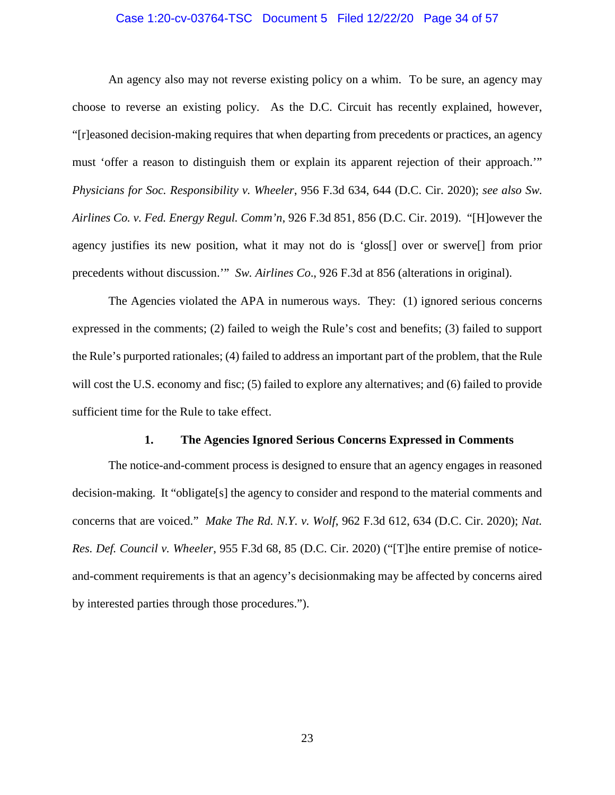#### Case 1:20-cv-03764-TSC Document 5 Filed 12/22/20 Page 34 of 57

An agency also may not reverse existing policy on a whim. To be sure, an agency may choose to reverse an existing policy. As the D.C. Circuit has recently explained, however, "[r]easoned decision-making requires that when departing from precedents or practices, an agency must 'offer a reason to distinguish them or explain its apparent rejection of their approach.'" *Physicians for Soc. Responsibility v. Wheeler*, 956 F.3d 634, 644 (D.C. Cir. 2020); *see also Sw. Airlines Co. v. Fed. Energy Regul. Comm'n*, 926 F.3d 851, 856 (D.C. Cir. 2019). "[H]owever the agency justifies its new position, what it may not do is 'gloss[] over or swerve[] from prior precedents without discussion.'" *Sw. Airlines Co*., 926 F.3d at 856 (alterations in original).

The Agencies violated the APA in numerous ways. They: (1) ignored serious concerns expressed in the comments; (2) failed to weigh the Rule's cost and benefits; (3) failed to support the Rule's purported rationales; (4) failed to address an important part of the problem, that the Rule will cost the U.S. economy and fisc; (5) failed to explore any alternatives; and (6) failed to provide sufficient time for the Rule to take effect.

#### **1. The Agencies Ignored Serious Concerns Expressed in Comments**

The notice-and-comment process is designed to ensure that an agency engages in reasoned decision-making. It "obligate[s] the agency to consider and respond to the material comments and concerns that are voiced." *Make The Rd. N.Y. v. Wolf*, 962 F.3d 612, 634 (D.C. Cir. 2020); *Nat. Res. Def. Council v. Wheeler*, 955 F.3d 68, 85 (D.C. Cir. 2020) ("[T]he entire premise of noticeand-comment requirements is that an agency's decisionmaking may be affected by concerns aired by interested parties through those procedures.").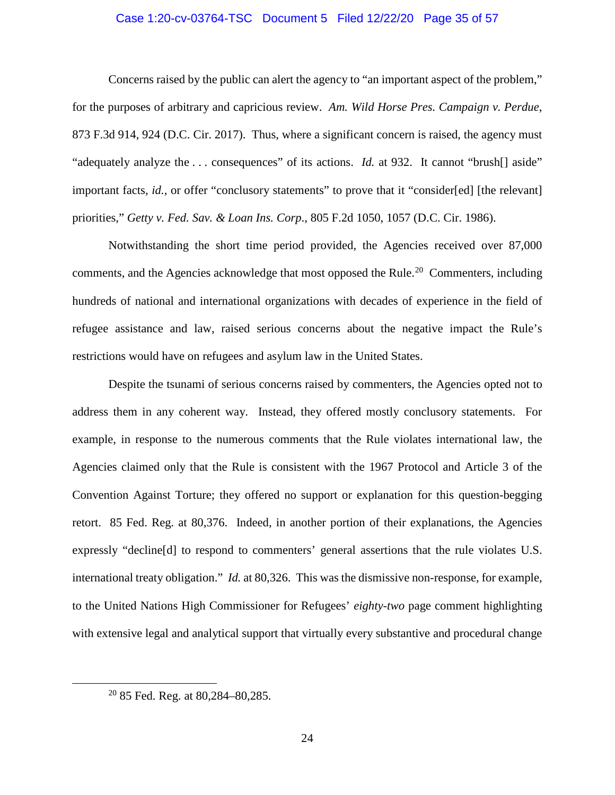#### Case 1:20-cv-03764-TSC Document 5 Filed 12/22/20 Page 35 of 57

Concerns raised by the public can alert the agency to "an important aspect of the problem," for the purposes of arbitrary and capricious review. *Am. Wild Horse Pres. Campaign v. Perdue*, 873 F.3d 914, 924 (D.C. Cir. 2017). Thus, where a significant concern is raised, the agency must "adequately analyze the . . . consequences" of its actions. *Id.* at 932. It cannot "brush[] aside" important facts, *id.*, or offer "conclusory statements" to prove that it "consider[ed] [the relevant] priorities," *Getty v. Fed. Sav. & Loan Ins. Corp*., 805 F.2d 1050, 1057 (D.C. Cir. 1986).

Notwithstanding the short time period provided, the Agencies received over 87,000 comments, and the Agencies acknowledge that most opposed the Rule.<sup>20</sup> Commenters, including hundreds of national and international organizations with decades of experience in the field of refugee assistance and law, raised serious concerns about the negative impact the Rule's restrictions would have on refugees and asylum law in the United States.

Despite the tsunami of serious concerns raised by commenters, the Agencies opted not to address them in any coherent way. Instead, they offered mostly conclusory statements. For example, in response to the numerous comments that the Rule violates international law, the Agencies claimed only that the Rule is consistent with the 1967 Protocol and Article 3 of the Convention Against Torture; they offered no support or explanation for this question-begging retort. 85 Fed. Reg. at 80,376. Indeed, in another portion of their explanations, the Agencies expressly "decline[d] to respond to commenters' general assertions that the rule violates U.S. international treaty obligation." *Id.* at 80,326. This was the dismissive non-response, for example, to the United Nations High Commissioner for Refugees' *eighty-two* page comment highlighting with extensive legal and analytical support that virtually every substantive and procedural change

 $20$  85 Fed. Reg. at 80,284–80,285.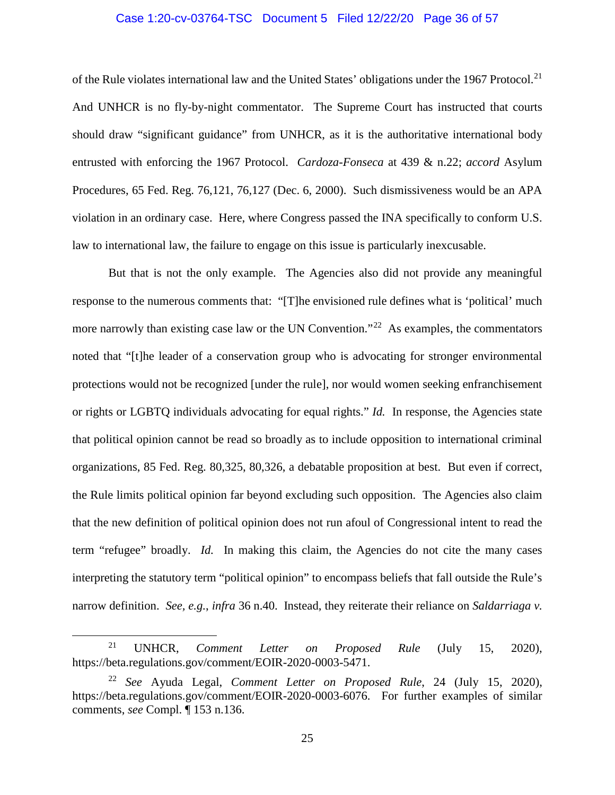#### Case 1:20-cv-03764-TSC Document 5 Filed 12/22/20 Page 36 of 57

of the Rule violates international law and the United States' obligations under the 1967 Protocol.<sup>21</sup> And UNHCR is no fly-by-night commentator. The Supreme Court has instructed that courts should draw "significant guidance" from UNHCR, as it is the authoritative international body entrusted with enforcing the 1967 Protocol. *Cardoza-Fonseca* at 439 & n.22; *accord* Asylum Procedures, 65 Fed. Reg. 76,121, 76,127 (Dec. 6, 2000). Such dismissiveness would be an APA violation in an ordinary case. Here, where Congress passed the INA specifically to conform U.S. law to international law, the failure to engage on this issue is particularly inexcusable.

But that is not the only example. The Agencies also did not provide any meaningful response to the numerous comments that: "[T]he envisioned rule defines what is 'political' much more narrowly than existing case law or the UN Convention."<sup>22</sup> As examples, the commentators noted that "[t]he leader of a conservation group who is advocating for stronger environmental protections would not be recognized [under the rule], nor would women seeking enfranchisement or rights or LGBTQ individuals advocating for equal rights." *Id.* In response, the Agencies state that political opinion cannot be read so broadly as to include opposition to international criminal organizations, 85 Fed. Reg. 80,325, 80,326, a debatable proposition at best. But even if correct, the Rule limits political opinion far beyond excluding such opposition. The Agencies also claim that the new definition of political opinion does not run afoul of Congressional intent to read the term "refugee" broadly. *Id.* In making this claim, the Agencies do not cite the many cases interpreting the statutory term "political opinion" to encompass beliefs that fall outside the Rule's narrow definition. *See, e.g.*, *infra* 36 n.40. Instead, they reiterate their reliance on *Saldarriaga v.*

 <sup>21</sup> UNHCR, *Comment Letter on Proposed Rule* (July 15, 2020), https://beta.regulations.gov/comment/EOIR-2020-0003-5471.

<sup>22</sup> *See* Ayuda Legal, *Comment Letter on Proposed Rule*, 24 (July 15, 2020), https://beta.regulations.gov/comment/EOIR-2020-0003-6076. For further examples of similar comments, *see* Compl. ¶ 153 n.136.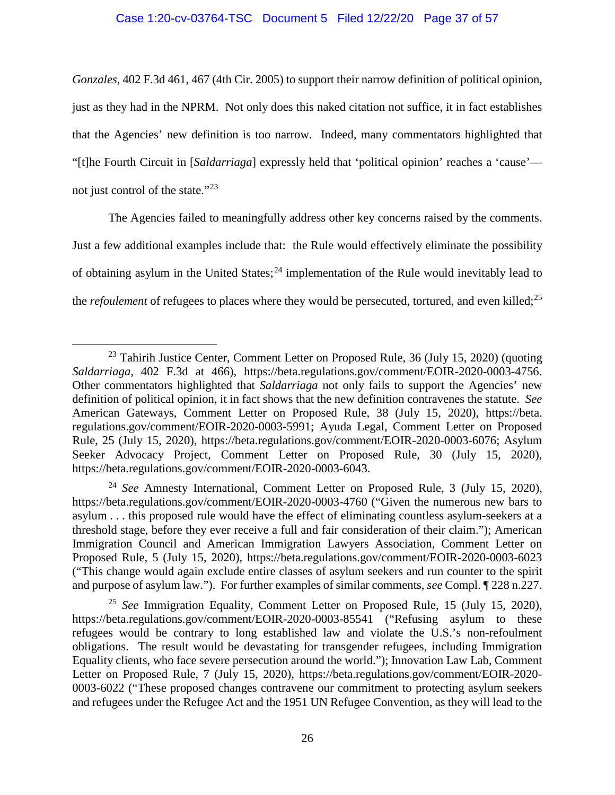#### Case 1:20-cv-03764-TSC Document 5 Filed 12/22/20 Page 37 of 57

*Gonzales*, 402 F.3d 461, 467 (4th Cir. 2005) to support their narrow definition of political opinion, just as they had in the NPRM. Not only does this naked citation not suffice, it in fact establishes that the Agencies' new definition is too narrow. Indeed, many commentators highlighted that "[t]he Fourth Circuit in [*Saldarriaga*] expressly held that 'political opinion' reaches a 'cause' not just control of the state." $^{23}$ 

The Agencies failed to meaningfully address other key concerns raised by the comments. Just a few additional examples include that: the Rule would effectively eliminate the possibility of obtaining asylum in the United States;<sup>24</sup> implementation of the Rule would inevitably lead to the *refoulement* of refugees to places where they would be persecuted, tortured, and even killed;<sup>25</sup>

<sup>&</sup>lt;sup>23</sup> Tahirih Justice Center, Comment Letter on Proposed Rule, 36 (July 15, 2020) (quoting *Saldarriaga*, 402 F.3d at 466), https://beta.regulations.gov/comment/EOIR-2020-0003-4756. Other commentators highlighted that *Saldarriaga* not only fails to support the Agencies' new definition of political opinion, it in fact shows that the new definition contravenes the statute. *See*  American Gateways, Comment Letter on Proposed Rule, 38 (July 15, 2020), https://beta. regulations.gov/comment/EOIR-2020-0003-5991; Ayuda Legal, Comment Letter on Proposed Rule, 25 (July 15, 2020), https://beta.regulations.gov/comment/EOIR-2020-0003-6076; Asylum Seeker Advocacy Project, Comment Letter on Proposed Rule, 30 (July 15, 2020), https://beta.regulations.gov/comment/EOIR-2020-0003-6043.

<sup>24</sup> *See* Amnesty International, Comment Letter on Proposed Rule, 3 (July 15, 2020), https://beta.regulations.gov/comment/EOIR-2020-0003-4760 ("Given the numerous new bars to asylum . . . this proposed rule would have the effect of eliminating countless asylum-seekers at a threshold stage, before they ever receive a full and fair consideration of their claim."); American Immigration Council and American Immigration Lawyers Association, Comment Letter on Proposed Rule, 5 (July 15, 2020), https://beta.regulations.gov/comment/EOIR-2020-0003-6023 ("This change would again exclude entire classes of asylum seekers and run counter to the spirit and purpose of asylum law."). For further examples of similar comments, *see* Compl. ¶ 228 n.227.

<sup>25</sup> *See* Immigration Equality, Comment Letter on Proposed Rule, 15 (July 15, 2020), https://beta.regulations.gov/comment/EOIR-2020-0003-85541 ("Refusing asylum to these refugees would be contrary to long established law and violate the U.S.'s non-refoulment obligations. The result would be devastating for transgender refugees, including Immigration Equality clients, who face severe persecution around the world."); Innovation Law Lab, Comment Letter on Proposed Rule, 7 (July 15, 2020), https://beta.regulations.gov/comment/EOIR-2020- 0003-6022 ("These proposed changes contravene our commitment to protecting asylum seekers and refugees under the Refugee Act and the 1951 UN Refugee Convention, as they will lead to the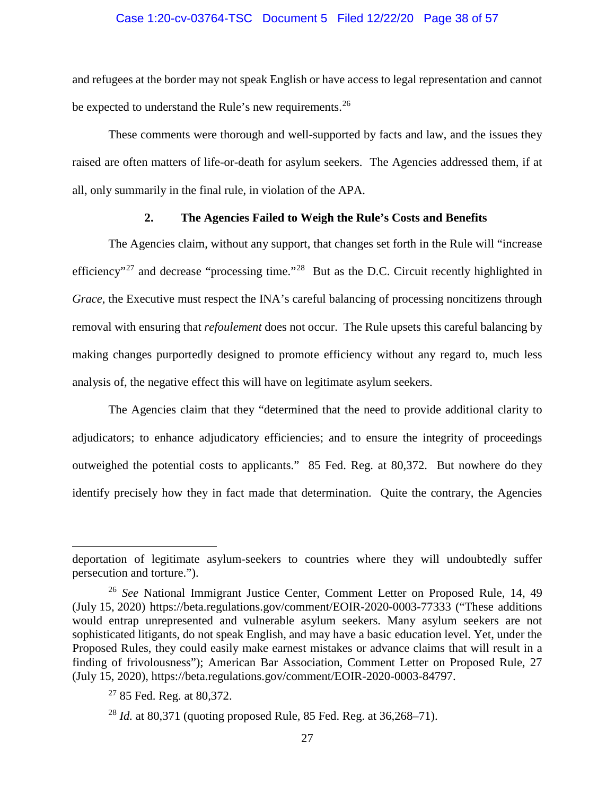#### Case 1:20-cv-03764-TSC Document 5 Filed 12/22/20 Page 38 of 57

and refugees at the border may not speak English or have access to legal representation and cannot be expected to understand the Rule's new requirements.<sup>26</sup>

These comments were thorough and well-supported by facts and law, and the issues they raised are often matters of life-or-death for asylum seekers. The Agencies addressed them, if at all, only summarily in the final rule, in violation of the APA.

# **2. The Agencies Failed to Weigh the Rule's Costs and Benefits**

The Agencies claim, without any support, that changes set forth in the Rule will "increase efficiency"<sup>27</sup> and decrease "processing time."<sup>28</sup> But as the D.C. Circuit recently highlighted in *Grace*, the Executive must respect the INA's careful balancing of processing noncitizens through removal with ensuring that *refoulement* does not occur. The Rule upsets this careful balancing by making changes purportedly designed to promote efficiency without any regard to, much less analysis of, the negative effect this will have on legitimate asylum seekers.

The Agencies claim that they "determined that the need to provide additional clarity to adjudicators; to enhance adjudicatory efficiencies; and to ensure the integrity of proceedings outweighed the potential costs to applicants." 85 Fed. Reg. at 80,372. But nowhere do they identify precisely how they in fact made that determination. Quite the contrary, the Agencies

 $\overline{a}$ 

deportation of legitimate asylum-seekers to countries where they will undoubtedly suffer persecution and torture.").

<sup>26</sup> *See* National Immigrant Justice Center, Comment Letter on Proposed Rule, 14, 49 (July 15, 2020) https://beta.regulations.gov/comment/EOIR-2020-0003-77333 ("These additions would entrap unrepresented and vulnerable asylum seekers. Many asylum seekers are not sophisticated litigants, do not speak English, and may have a basic education level. Yet, under the Proposed Rules, they could easily make earnest mistakes or advance claims that will result in a finding of frivolousness"); American Bar Association, Comment Letter on Proposed Rule, 27 (July 15, 2020), https://beta.regulations.gov/comment/EOIR-2020-0003-84797.

 $27$  85 Fed. Reg. at 80,372.

<sup>28</sup> *Id.* at 80,371 (quoting proposed Rule, 85 Fed. Reg. at 36,268–71).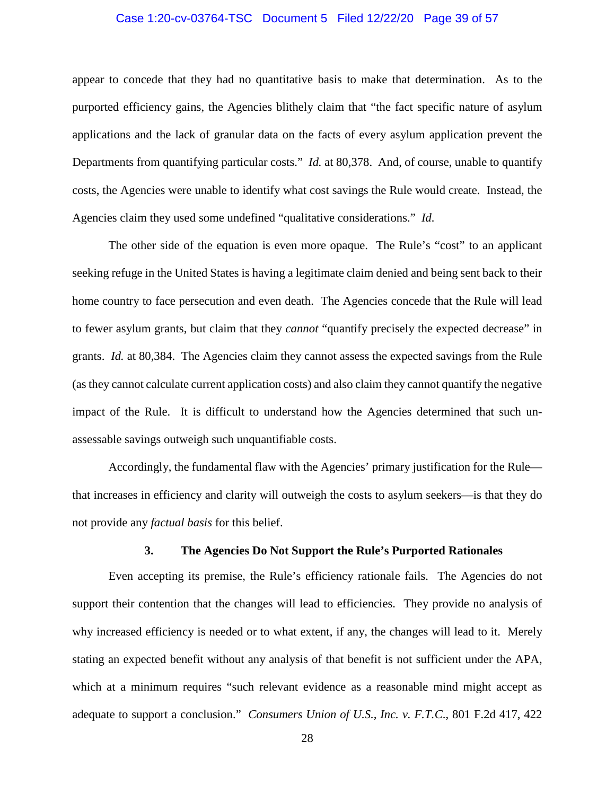#### Case 1:20-cv-03764-TSC Document 5 Filed 12/22/20 Page 39 of 57

appear to concede that they had no quantitative basis to make that determination. As to the purported efficiency gains, the Agencies blithely claim that "the fact specific nature of asylum applications and the lack of granular data on the facts of every asylum application prevent the Departments from quantifying particular costs." *Id.* at 80,378. And, of course, unable to quantify costs, the Agencies were unable to identify what cost savings the Rule would create. Instead, the Agencies claim they used some undefined "qualitative considerations." *Id.* 

The other side of the equation is even more opaque. The Rule's "cost" to an applicant seeking refuge in the United States is having a legitimate claim denied and being sent back to their home country to face persecution and even death. The Agencies concede that the Rule will lead to fewer asylum grants, but claim that they *cannot* "quantify precisely the expected decrease" in grants. *Id.* at 80,384. The Agencies claim they cannot assess the expected savings from the Rule (as they cannot calculate current application costs) and also claim they cannot quantify the negative impact of the Rule. It is difficult to understand how the Agencies determined that such unassessable savings outweigh such unquantifiable costs.

Accordingly, the fundamental flaw with the Agencies' primary justification for the Rule that increases in efficiency and clarity will outweigh the costs to asylum seekers—is that they do not provide any *factual basis* for this belief.

#### **3. The Agencies Do Not Support the Rule's Purported Rationales**

Even accepting its premise, the Rule's efficiency rationale fails. The Agencies do not support their contention that the changes will lead to efficiencies. They provide no analysis of why increased efficiency is needed or to what extent, if any, the changes will lead to it. Merely stating an expected benefit without any analysis of that benefit is not sufficient under the APA, which at a minimum requires "such relevant evidence as a reasonable mind might accept as adequate to support a conclusion." *Consumers Union of U.S., Inc. v. F.T.C*., 801 F.2d 417, 422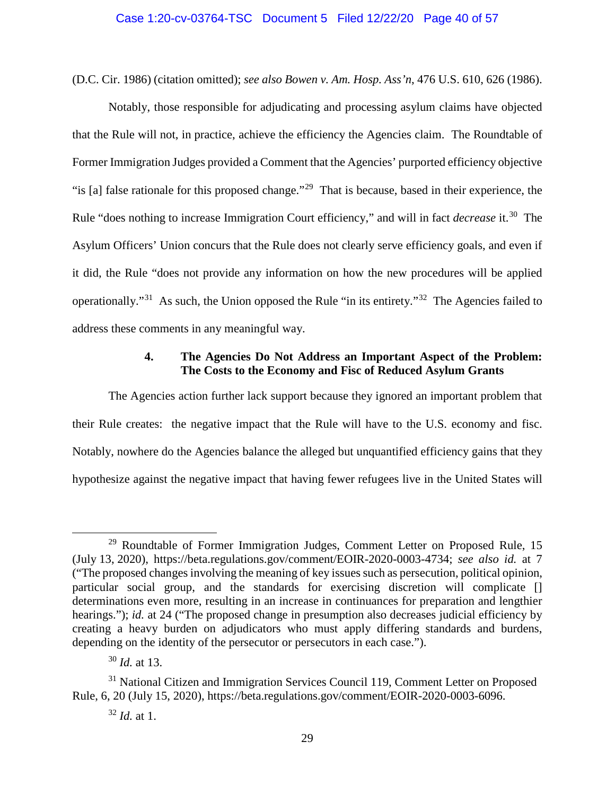#### Case 1:20-cv-03764-TSC Document 5 Filed 12/22/20 Page 40 of 57

(D.C. Cir. 1986) (citation omitted); *see also Bowen v. Am. Hosp. Ass'n*, 476 U.S. 610, 626 (1986).

Notably, those responsible for adjudicating and processing asylum claims have objected that the Rule will not, in practice, achieve the efficiency the Agencies claim. The Roundtable of Former Immigration Judges provided a Comment that the Agencies' purported efficiency objective "is [a] false rationale for this proposed change."<sup>29</sup> That is because, based in their experience, the Rule "does nothing to increase Immigration Court efficiency," and will in fact *decrease* it.30 The Asylum Officers' Union concurs that the Rule does not clearly serve efficiency goals, and even if it did, the Rule "does not provide any information on how the new procedures will be applied operationally."31 As such, the Union opposed the Rule "in its entirety."32 The Agencies failed to address these comments in any meaningful way.

# **4. The Agencies Do Not Address an Important Aspect of the Problem: The Costs to the Economy and Fisc of Reduced Asylum Grants**

The Agencies action further lack support because they ignored an important problem that their Rule creates: the negative impact that the Rule will have to the U.S. economy and fisc. Notably, nowhere do the Agencies balance the alleged but unquantified efficiency gains that they hypothesize against the negative impact that having fewer refugees live in the United States will

 $29$  Roundtable of Former Immigration Judges, Comment Letter on Proposed Rule, 15 (July 13, 2020), https://beta.regulations.gov/comment/EOIR-2020-0003-4734; *see also id.* at 7 ("The proposed changes involving the meaning of key issues such as persecution, political opinion, particular social group, and the standards for exercising discretion will complicate [] determinations even more, resulting in an increase in continuances for preparation and lengthier hearings."); *id.* at 24 ("The proposed change in presumption also decreases judicial efficiency by creating a heavy burden on adjudicators who must apply differing standards and burdens, depending on the identity of the persecutor or persecutors in each case.").

<sup>30</sup> *Id.* at 13.

<sup>&</sup>lt;sup>31</sup> National Citizen and Immigration Services Council 119, Comment Letter on Proposed Rule, 6, 20 (July 15, 2020), https://beta.regulations.gov/comment/EOIR-2020-0003-6096.

<sup>32</sup> *Id.* at 1.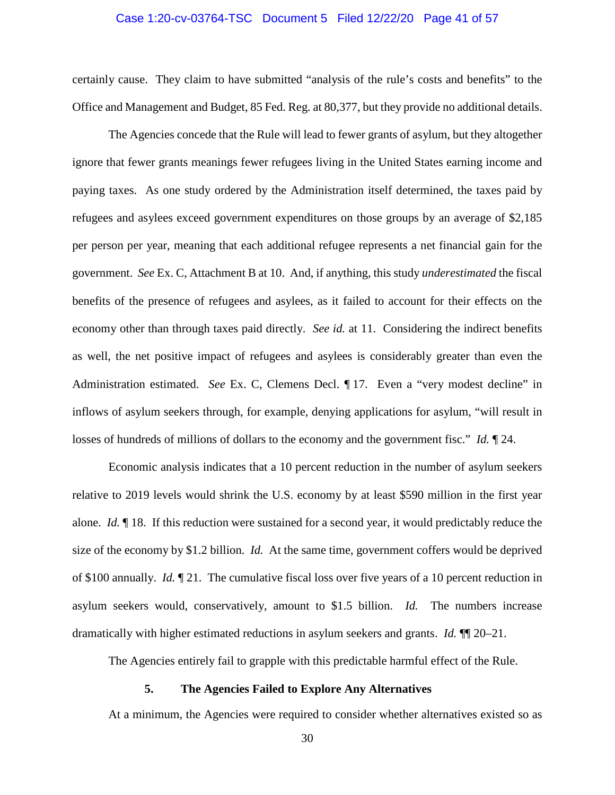#### Case 1:20-cv-03764-TSC Document 5 Filed 12/22/20 Page 41 of 57

certainly cause. They claim to have submitted "analysis of the rule's costs and benefits" to the Office and Management and Budget, 85 Fed. Reg. at 80,377, but they provide no additional details.

The Agencies concede that the Rule will lead to fewer grants of asylum, but they altogether ignore that fewer grants meanings fewer refugees living in the United States earning income and paying taxes. As one study ordered by the Administration itself determined, the taxes paid by refugees and asylees exceed government expenditures on those groups by an average of \$2,185 per person per year, meaning that each additional refugee represents a net financial gain for the government. *See* Ex. C, Attachment B at 10. And, if anything, this study *underestimated* the fiscal benefits of the presence of refugees and asylees, as it failed to account for their effects on the economy other than through taxes paid directly. *See id.* at 11. Considering the indirect benefits as well, the net positive impact of refugees and asylees is considerably greater than even the Administration estimated. *See* Ex. C, Clemens Decl. ¶ 17. Even a "very modest decline" in inflows of asylum seekers through, for example, denying applications for asylum, "will result in losses of hundreds of millions of dollars to the economy and the government fisc." *Id.* ¶ 24.

Economic analysis indicates that a 10 percent reduction in the number of asylum seekers relative to 2019 levels would shrink the U.S. economy by at least \$590 million in the first year alone. *Id.* ¶ 18. If this reduction were sustained for a second year, it would predictably reduce the size of the economy by \$1.2 billion. *Id.* At the same time, government coffers would be deprived of \$100 annually. *Id.* ¶ 21. The cumulative fiscal loss over five years of a 10 percent reduction in asylum seekers would, conservatively, amount to \$1.5 billion. *Id.* The numbers increase dramatically with higher estimated reductions in asylum seekers and grants. *Id.* ¶¶ 20–21.

The Agencies entirely fail to grapple with this predictable harmful effect of the Rule.

### **5. The Agencies Failed to Explore Any Alternatives**

At a minimum, the Agencies were required to consider whether alternatives existed so as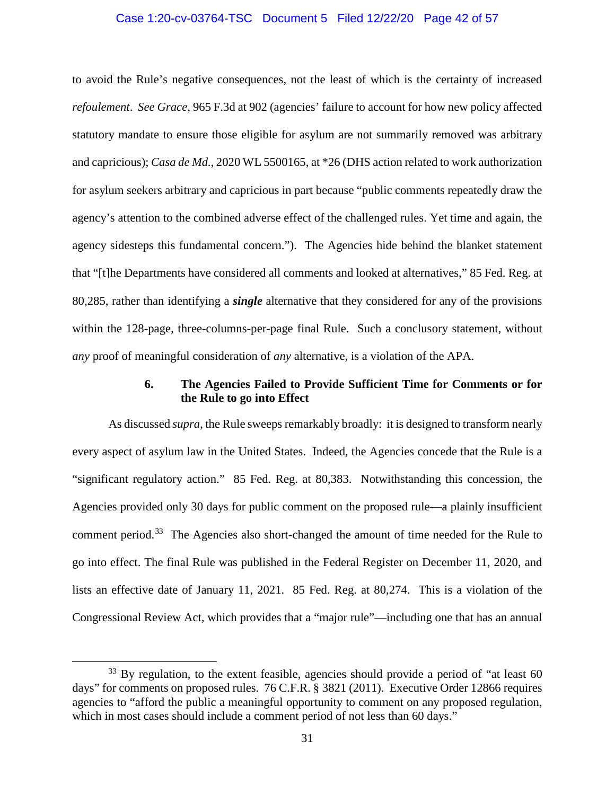#### Case 1:20-cv-03764-TSC Document 5 Filed 12/22/20 Page 42 of 57

to avoid the Rule's negative consequences, not the least of which is the certainty of increased *refoulement*. *See Grace*, 965 F.3d at 902 (agencies' failure to account for how new policy affected statutory mandate to ensure those eligible for asylum are not summarily removed was arbitrary and capricious); *Casa de Md.*, 2020 WL 5500165, at \*26 (DHS action related to work authorization for asylum seekers arbitrary and capricious in part because "public comments repeatedly draw the agency's attention to the combined adverse effect of the challenged rules. Yet time and again, the agency sidesteps this fundamental concern."). The Agencies hide behind the blanket statement that "[t]he Departments have considered all comments and looked at alternatives," 85 Fed. Reg. at 80,285, rather than identifying a *single* alternative that they considered for any of the provisions within the 128-page, three-columns-per-page final Rule. Such a conclusory statement, without *any* proof of meaningful consideration of *any* alternative, is a violation of the APA.

### **6. The Agencies Failed to Provide Sufficient Time for Comments or for the Rule to go into Effect**

As discussed *supra*, the Rule sweeps remarkably broadly: it is designed to transform nearly every aspect of asylum law in the United States.Indeed, the Agencies concede that the Rule is a "significant regulatory action." 85 Fed. Reg. at 80,383. Notwithstanding this concession, the Agencies provided only 30 days for public comment on the proposed rule—a plainly insufficient comment period.<sup>33</sup> The Agencies also short-changed the amount of time needed for the Rule to go into effect. The final Rule was published in the Federal Register on December 11, 2020, and lists an effective date of January 11, 2021. 85 Fed. Reg. at 80,274. This is a violation of the Congressional Review Act, which provides that a "major rule"—including one that has an annual

<sup>&</sup>lt;sup>33</sup> By regulation, to the extent feasible, agencies should provide a period of "at least 60 days" for comments on proposed rules. 76 C.F.R. § 3821 (2011). Executive Order 12866 requires agencies to "afford the public a meaningful opportunity to comment on any proposed regulation, which in most cases should include a comment period of not less than 60 days."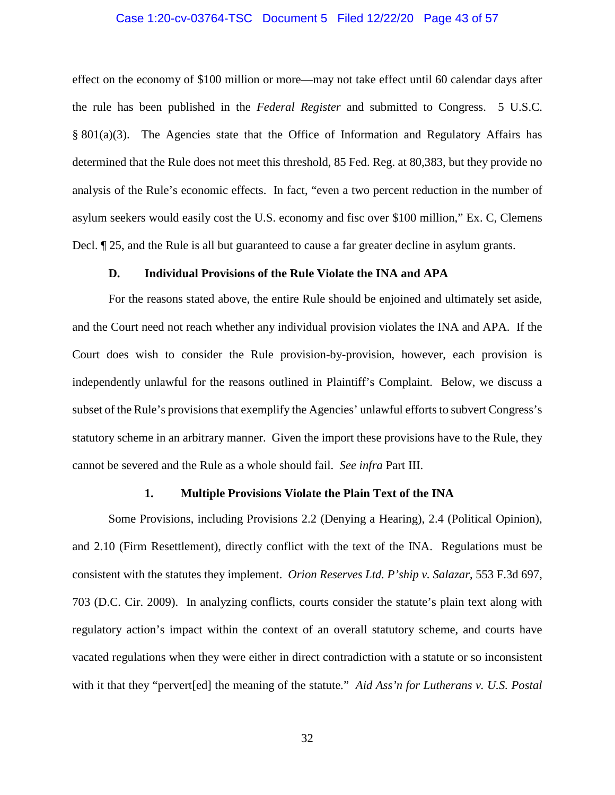#### Case 1:20-cv-03764-TSC Document 5 Filed 12/22/20 Page 43 of 57

effect on the economy of \$100 million or more—may not take effect until 60 calendar days after the rule has been published in the *Federal Register* and submitted to Congress. 5 U.S.C. § 801(a)(3). The Agencies state that the Office of Information and Regulatory Affairs has determined that the Rule does not meet this threshold, 85 Fed. Reg. at 80,383, but they provide no analysis of the Rule's economic effects. In fact, "even a two percent reduction in the number of asylum seekers would easily cost the U.S. economy and fisc over \$100 million," Ex. C, Clemens Decl. ¶ 25, and the Rule is all but guaranteed to cause a far greater decline in asylum grants.

#### **D. Individual Provisions of the Rule Violate the INA and APA**

For the reasons stated above, the entire Rule should be enjoined and ultimately set aside, and the Court need not reach whether any individual provision violates the INA and APA. If the Court does wish to consider the Rule provision-by-provision, however, each provision is independently unlawful for the reasons outlined in Plaintiff's Complaint. Below, we discuss a subset of the Rule's provisions that exemplify the Agencies' unlawful efforts to subvert Congress's statutory scheme in an arbitrary manner. Given the import these provisions have to the Rule, they cannot be severed and the Rule as a whole should fail. *See infra* Part III.

# **1. Multiple Provisions Violate the Plain Text of the INA**

Some Provisions, including Provisions 2.2 (Denying a Hearing), 2.4 (Political Opinion), and 2.10 (Firm Resettlement), directly conflict with the text of the INA. Regulations must be consistent with the statutes they implement. *Orion Reserves Ltd. P'ship v. Salazar*, 553 F.3d 697, 703 (D.C. Cir. 2009). In analyzing conflicts, courts consider the statute's plain text along with regulatory action's impact within the context of an overall statutory scheme, and courts have vacated regulations when they were either in direct contradiction with a statute or so inconsistent with it that they "pervert[ed] the meaning of the statute*.*" *Aid Ass'n for Lutherans v. U.S. Postal*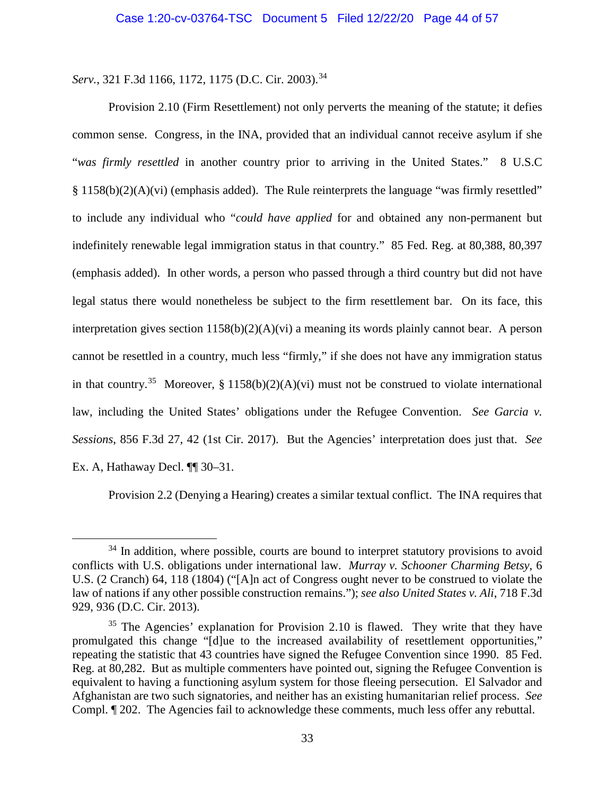*Serv.*, 321 F.3d 1166, 1172, 1175 (D.C. Cir. 2003).34

Provision 2.10 (Firm Resettlement) not only perverts the meaning of the statute; it defies common sense. Congress, in the INA, provided that an individual cannot receive asylum if she "*was firmly resettled* in another country prior to arriving in the United States." 8 U.S.C § 1158(b)(2)(A)(vi) (emphasis added). The Rule reinterprets the language "was firmly resettled" to include any individual who "*could have applied* for and obtained any non-permanent but indefinitely renewable legal immigration status in that country." 85 Fed. Reg. at 80,388, 80,397 (emphasis added). In other words, a person who passed through a third country but did not have legal status there would nonetheless be subject to the firm resettlement bar. On its face, this interpretation gives section  $1158(b)(2)(A)(vi)$  a meaning its words plainly cannot bear. A person cannot be resettled in a country, much less "firmly," if she does not have any immigration status in that country.<sup>35</sup> Moreover, § 1158(b)(2)(A)(vi) must not be construed to violate international law, including the United States' obligations under the Refugee Convention. *See Garcia v. Sessions*, 856 F.3d 27, 42 (1st Cir. 2017). But the Agencies' interpretation does just that. *See*  Ex. A, Hathaway Decl. ¶¶ 30–31.

Provision 2.2 (Denying a Hearing) creates a similar textual conflict. The INA requires that

 $34$  In addition, where possible, courts are bound to interpret statutory provisions to avoid conflicts with U.S. obligations under international law. *Murray v. Schooner Charming Betsy*, 6 U.S. (2 Cranch) 64, 118 (1804) ("[A]n act of Congress ought never to be construed to violate the law of nations if any other possible construction remains."); *see also United States v. Ali*, 718 F.3d 929, 936 (D.C. Cir. 2013).

 $35$  The Agencies' explanation for Provision 2.10 is flawed. They write that they have promulgated this change "[d]ue to the increased availability of resettlement opportunities," repeating the statistic that 43 countries have signed the Refugee Convention since 1990. 85 Fed. Reg. at 80,282. But as multiple commenters have pointed out, signing the Refugee Convention is equivalent to having a functioning asylum system for those fleeing persecution. El Salvador and Afghanistan are two such signatories, and neither has an existing humanitarian relief process. *See*  Compl. ¶ 202. The Agencies fail to acknowledge these comments, much less offer any rebuttal.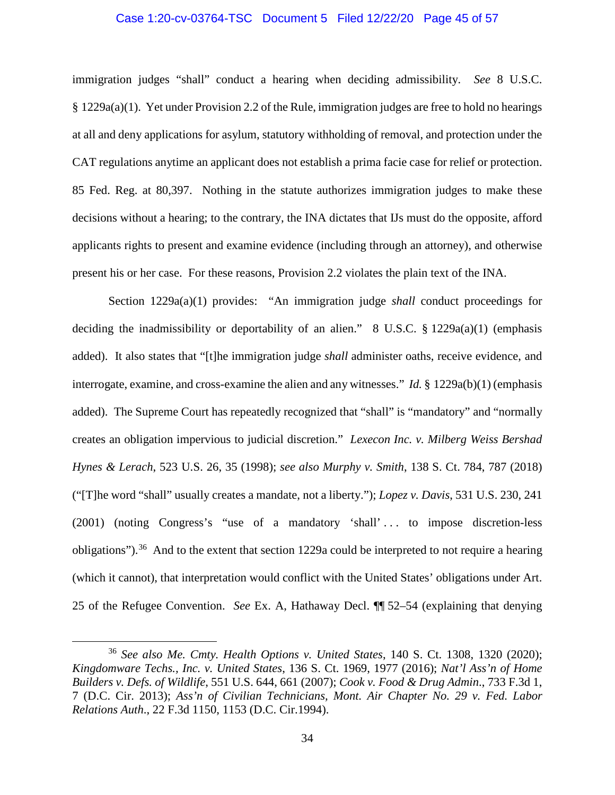#### Case 1:20-cv-03764-TSC Document 5 Filed 12/22/20 Page 45 of 57

immigration judges "shall" conduct a hearing when deciding admissibility. *See* 8 U.S.C. § 1229a(a)(1). Yet under Provision 2.2 of the Rule, immigration judges are free to hold no hearings at all and deny applications for asylum, statutory withholding of removal, and protection under the CAT regulations anytime an applicant does not establish a prima facie case for relief or protection. 85 Fed. Reg. at 80,397. Nothing in the statute authorizes immigration judges to make these decisions without a hearing; to the contrary, the INA dictates that IJs must do the opposite, afford applicants rights to present and examine evidence (including through an attorney), and otherwise present his or her case. For these reasons, Provision 2.2 violates the plain text of the INA.

Section 1229a(a)(1) provides: "An immigration judge *shall* conduct proceedings for deciding the inadmissibility or deportability of an alien." 8 U.S.C.  $\S$  1229a(a)(1) (emphasis added). It also states that "[t]he immigration judge *shall* administer oaths, receive evidence, and interrogate, examine, and cross-examine the alien and any witnesses." *Id.* § 1229a(b)(1) (emphasis added). The Supreme Court has repeatedly recognized that "shall" is "mandatory" and "normally creates an obligation impervious to judicial discretion." *Lexecon Inc. v. Milberg Weiss Bershad Hynes & Lerach*, 523 U.S. 26, 35 (1998); *see also Murphy v. Smith*, 138 S. Ct. 784, 787 (2018) ("[T]he word "shall" usually creates a mandate, not a liberty."); *Lopez v. Davis*, 531 U.S. 230, 241 (2001) (noting Congress's "use of a mandatory 'shall' . . . to impose discretion-less obligations").<sup>36</sup> And to the extent that section 1229a could be interpreted to not require a hearing (which it cannot), that interpretation would conflict with the United States' obligations under Art. 25 of the Refugee Convention. *See* Ex. A, Hathaway Decl. ¶¶ 52–54 (explaining that denying

 <sup>36</sup> *See also Me. Cmty. Health Options v. United States*, 140 S. Ct. 1308, 1320 (2020); *Kingdomware Techs., Inc. v. United States*, 136 S. Ct. 1969, 1977 (2016); *Nat'l Ass'n of Home Builders v. Defs. of Wildlife*, 551 U.S. 644, 661 (2007); *Cook v. Food & Drug Admin*., 733 F.3d 1, 7 (D.C. Cir. 2013); *Ass'n of Civilian Technicians, Mont. Air Chapter No. 29 v. Fed. Labor Relations Auth*., 22 F.3d 1150, 1153 (D.C. Cir.1994).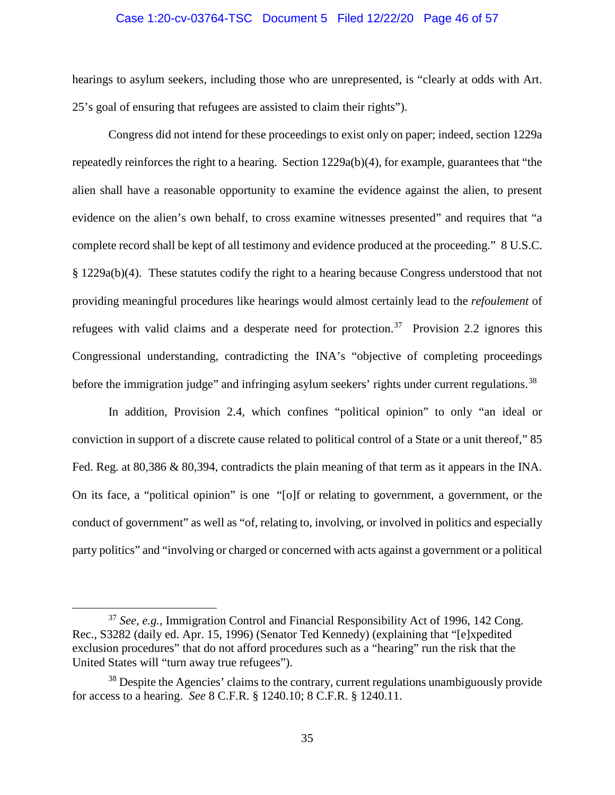#### Case 1:20-cv-03764-TSC Document 5 Filed 12/22/20 Page 46 of 57

hearings to asylum seekers, including those who are unrepresented, is "clearly at odds with Art. 25's goal of ensuring that refugees are assisted to claim their rights").

Congress did not intend for these proceedings to exist only on paper; indeed, section 1229a repeatedly reinforces the right to a hearing. Section 1229a(b)(4), for example, guarantees that "the alien shall have a reasonable opportunity to examine the evidence against the alien, to present evidence on the alien's own behalf, to cross examine witnesses presented" and requires that "a complete record shall be kept of all testimony and evidence produced at the proceeding." 8 U.S.C. § 1229a(b)(4). These statutes codify the right to a hearing because Congress understood that not providing meaningful procedures like hearings would almost certainly lead to the *refoulement* of refugees with valid claims and a desperate need for protection.<sup>37</sup> Provision 2.2 ignores this Congressional understanding, contradicting the INA's "objective of completing proceedings before the immigration judge" and infringing asylum seekers' rights under current regulations.<sup>38</sup>

In addition, Provision 2.4, which confines "political opinion" to only "an ideal or conviction in support of a discrete cause related to political control of a State or a unit thereof," 85 Fed. Reg. at 80,386 & 80,394, contradicts the plain meaning of that term as it appears in the INA. On its face, a "political opinion" is one "[o]f or relating to government, a government, or the conduct of government" as well as "of, relating to, involving, or involved in politics and especially party politics" and "involving or charged or concerned with acts against a government or a political

 <sup>37</sup> *See, e.g.*, Immigration Control and Financial Responsibility Act of 1996, 142 Cong. Rec., S3282 (daily ed. Apr. 15, 1996) (Senator Ted Kennedy) (explaining that "[e]xpedited exclusion procedures" that do not afford procedures such as a "hearing" run the risk that the United States will "turn away true refugees").

 $38$  Despite the Agencies' claims to the contrary, current regulations unambiguously provide for access to a hearing. *See* 8 C.F.R. § 1240.10; 8 C.F.R. § 1240.11.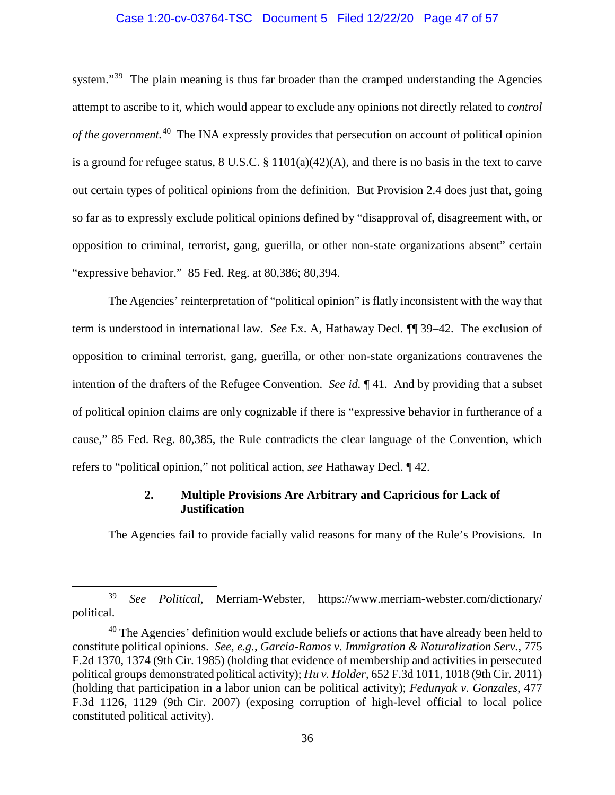#### Case 1:20-cv-03764-TSC Document 5 Filed 12/22/20 Page 47 of 57

system."<sup>39</sup> The plain meaning is thus far broader than the cramped understanding the Agencies attempt to ascribe to it, which would appear to exclude any opinions not directly related to *control of the government.* <sup>40</sup> The INA expressly provides that persecution on account of political opinion is a ground for refugee status, 8 U.S.C. § 1101(a)(42)(A), and there is no basis in the text to carve out certain types of political opinions from the definition. But Provision 2.4 does just that, going so far as to expressly exclude political opinions defined by "disapproval of, disagreement with, or opposition to criminal, terrorist, gang, guerilla, or other non-state organizations absent" certain "expressive behavior." 85 Fed. Reg. at 80,386; 80,394.

The Agencies' reinterpretation of "political opinion" is flatly inconsistent with the way that term is understood in international law. *See* Ex. A, Hathaway Decl. ¶¶ 39–42. The exclusion of opposition to criminal terrorist, gang, guerilla, or other non-state organizations contravenes the intention of the drafters of the Refugee Convention. *See id.* ¶ 41. And by providing that a subset of political opinion claims are only cognizable if there is "expressive behavior in furtherance of a cause," 85 Fed. Reg. 80,385, the Rule contradicts the clear language of the Convention, which refers to "political opinion," not political action, *see* Hathaway Decl. ¶ 42.

## **2. Multiple Provisions Are Arbitrary and Capricious for Lack of Justification**

The Agencies fail to provide facially valid reasons for many of the Rule's Provisions. In

 <sup>39</sup> *See Political*, Merriam-Webster, https://www.merriam-webster.com/dictionary/ political.

 $40$  The Agencies' definition would exclude beliefs or actions that have already been held to constitute political opinions. *See, e.g.*, *Garcia-Ramos v. Immigration & Naturalization Serv.*, 775 F.2d 1370, 1374 (9th Cir. 1985) (holding that evidence of membership and activities in persecuted political groups demonstrated political activity); *Hu v. Holder*, 652 F.3d 1011, 1018 (9th Cir. 2011) (holding that participation in a labor union can be political activity); *Fedunyak v. Gonzales*, 477 F.3d 1126, 1129 (9th Cir. 2007) (exposing corruption of high-level official to local police constituted political activity).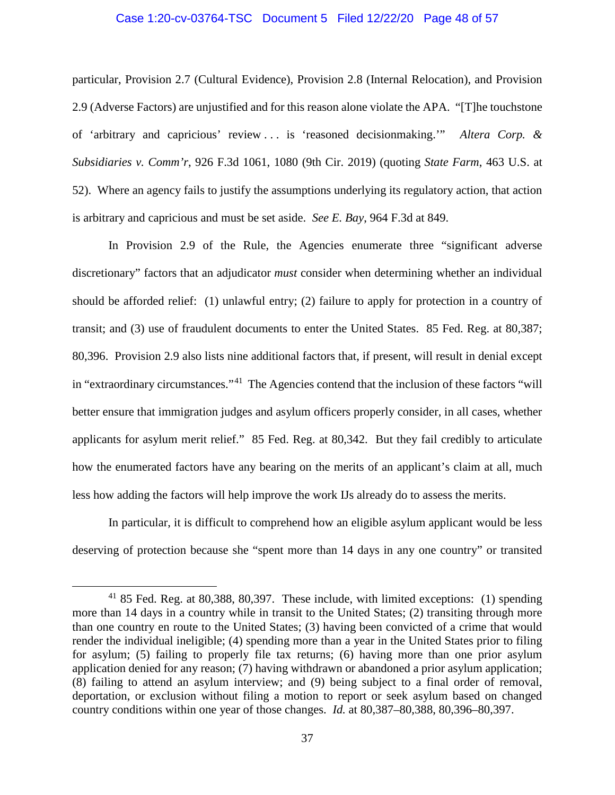#### Case 1:20-cv-03764-TSC Document 5 Filed 12/22/20 Page 48 of 57

particular, Provision 2.7 (Cultural Evidence), Provision 2.8 (Internal Relocation), and Provision 2.9 (Adverse Factors) are unjustified and for this reason alone violate the APA. "[T]he touchstone of 'arbitrary and capricious' review . . . is 'reasoned decisionmaking.'" *Altera Corp. & Subsidiaries v. Comm'r*, 926 F.3d 1061, 1080 (9th Cir. 2019) (quoting *State Farm*, 463 U.S. at 52). Where an agency fails to justify the assumptions underlying its regulatory action, that action is arbitrary and capricious and must be set aside. *See E. Bay*, 964 F.3d at 849.

In Provision 2.9 of the Rule, the Agencies enumerate three "significant adverse discretionary" factors that an adjudicator *must* consider when determining whether an individual should be afforded relief: (1) unlawful entry; (2) failure to apply for protection in a country of transit; and (3) use of fraudulent documents to enter the United States. 85 Fed. Reg. at 80,387; 80,396. Provision 2.9 also lists nine additional factors that, if present, will result in denial except in "extraordinary circumstances."41 The Agencies contend that the inclusion of these factors "will better ensure that immigration judges and asylum officers properly consider, in all cases, whether applicants for asylum merit relief." 85 Fed. Reg. at 80,342. But they fail credibly to articulate how the enumerated factors have any bearing on the merits of an applicant's claim at all, much less how adding the factors will help improve the work IJs already do to assess the merits.

In particular, it is difficult to comprehend how an eligible asylum applicant would be less deserving of protection because she "spent more than 14 days in any one country" or transited

<sup>&</sup>lt;sup>41</sup> 85 Fed. Reg. at 80,388, 80,397. These include, with limited exceptions: (1) spending more than 14 days in a country while in transit to the United States; (2) transiting through more than one country en route to the United States; (3) having been convicted of a crime that would render the individual ineligible; (4) spending more than a year in the United States prior to filing for asylum; (5) failing to properly file tax returns; (6) having more than one prior asylum application denied for any reason; (7) having withdrawn or abandoned a prior asylum application; (8) failing to attend an asylum interview; and (9) being subject to a final order of removal, deportation, or exclusion without filing a motion to report or seek asylum based on changed country conditions within one year of those changes. *Id.* at 80,387–80,388, 80,396–80,397.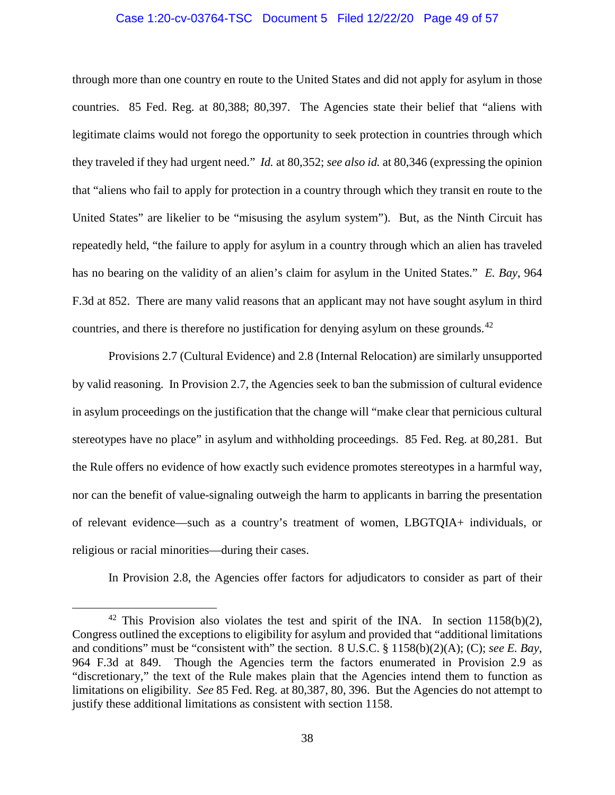#### Case 1:20-cv-03764-TSC Document 5 Filed 12/22/20 Page 49 of 57

through more than one country en route to the United States and did not apply for asylum in those countries. 85 Fed. Reg. at 80,388; 80,397. The Agencies state their belief that "aliens with legitimate claims would not forego the opportunity to seek protection in countries through which they traveled if they had urgent need." *Id.* at 80,352; *see also id.* at 80,346 (expressing the opinion that "aliens who fail to apply for protection in a country through which they transit en route to the United States" are likelier to be "misusing the asylum system"). But, as the Ninth Circuit has repeatedly held, "the failure to apply for asylum in a country through which an alien has traveled has no bearing on the validity of an alien's claim for asylum in the United States." *E. Bay*, 964 F.3d at 852. There are many valid reasons that an applicant may not have sought asylum in third countries, and there is therefore no justification for denying asylum on these grounds.<sup>42</sup>

Provisions 2.7 (Cultural Evidence) and 2.8 (Internal Relocation) are similarly unsupported by valid reasoning. In Provision 2.7, the Agencies seek to ban the submission of cultural evidence in asylum proceedings on the justification that the change will "make clear that pernicious cultural stereotypes have no place" in asylum and withholding proceedings. 85 Fed. Reg. at 80,281. But the Rule offers no evidence of how exactly such evidence promotes stereotypes in a harmful way, nor can the benefit of value-signaling outweigh the harm to applicants in barring the presentation of relevant evidence—such as a country's treatment of women, LBGTQIA+ individuals, or religious or racial minorities—during their cases.

In Provision 2.8, the Agencies offer factors for adjudicators to consider as part of their

<sup>&</sup>lt;sup>42</sup> This Provision also violates the test and spirit of the INA. In section 1158(b)(2), Congress outlined the exceptions to eligibility for asylum and provided that "additional limitations and conditions" must be "consistent with" the section. 8 U.S.C. § 1158(b)(2)(A); (C); *see E. Bay*, 964 F.3d at 849. Though the Agencies term the factors enumerated in Provision 2.9 as "discretionary," the text of the Rule makes plain that the Agencies intend them to function as limitations on eligibility. *See* 85 Fed. Reg. at 80,387, 80, 396. But the Agencies do not attempt to justify these additional limitations as consistent with section 1158.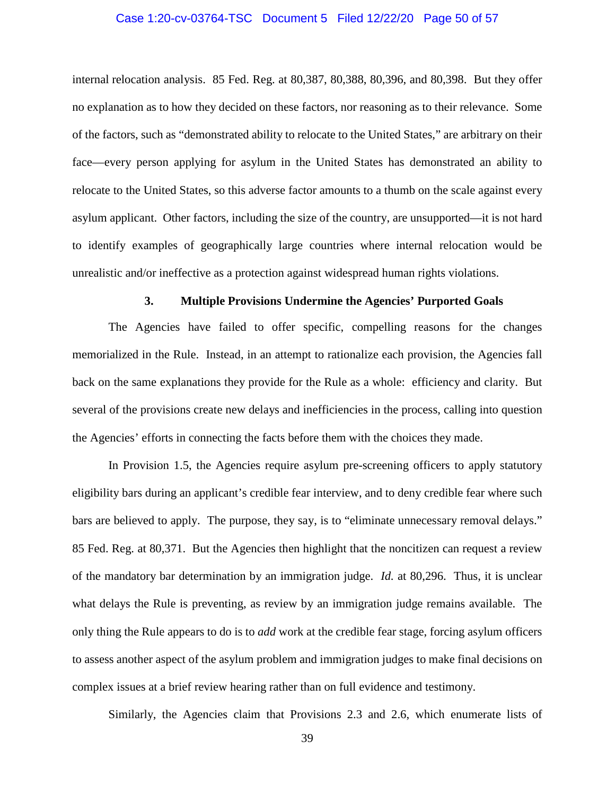#### Case 1:20-cv-03764-TSC Document 5 Filed 12/22/20 Page 50 of 57

internal relocation analysis. 85 Fed. Reg. at 80,387, 80,388, 80,396, and 80,398. But they offer no explanation as to how they decided on these factors, nor reasoning as to their relevance. Some of the factors, such as "demonstrated ability to relocate to the United States," are arbitrary on their face—every person applying for asylum in the United States has demonstrated an ability to relocate to the United States, so this adverse factor amounts to a thumb on the scale against every asylum applicant. Other factors, including the size of the country, are unsupported—it is not hard to identify examples of geographically large countries where internal relocation would be unrealistic and/or ineffective as a protection against widespread human rights violations.

#### **3. Multiple Provisions Undermine the Agencies' Purported Goals**

The Agencies have failed to offer specific, compelling reasons for the changes memorialized in the Rule. Instead, in an attempt to rationalize each provision, the Agencies fall back on the same explanations they provide for the Rule as a whole: efficiency and clarity. But several of the provisions create new delays and inefficiencies in the process, calling into question the Agencies' efforts in connecting the facts before them with the choices they made.

In Provision 1.5, the Agencies require asylum pre-screening officers to apply statutory eligibility bars during an applicant's credible fear interview, and to deny credible fear where such bars are believed to apply. The purpose, they say, is to "eliminate unnecessary removal delays." 85 Fed. Reg. at 80,371. But the Agencies then highlight that the noncitizen can request a review of the mandatory bar determination by an immigration judge. *Id.* at 80,296. Thus, it is unclear what delays the Rule is preventing, as review by an immigration judge remains available. The only thing the Rule appears to do is to *add* work at the credible fear stage, forcing asylum officers to assess another aspect of the asylum problem and immigration judges to make final decisions on complex issues at a brief review hearing rather than on full evidence and testimony.

Similarly, the Agencies claim that Provisions 2.3 and 2.6, which enumerate lists of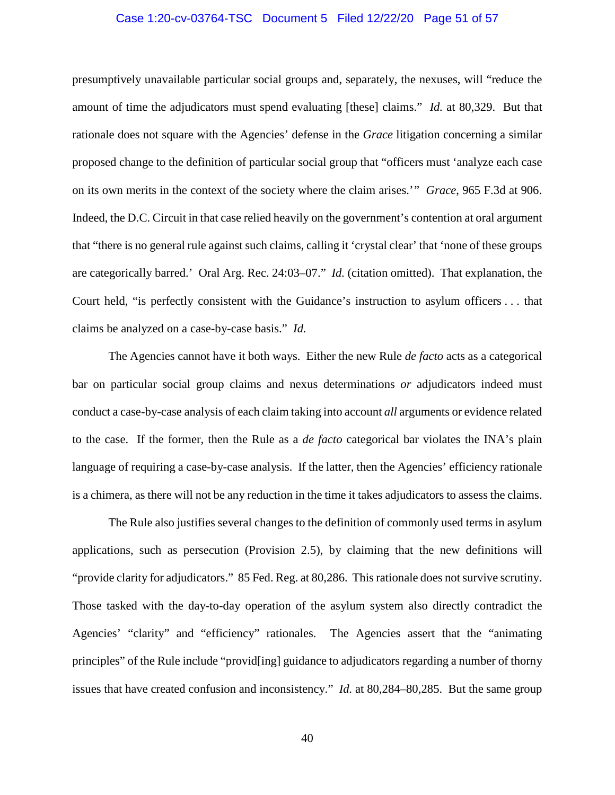#### Case 1:20-cv-03764-TSC Document 5 Filed 12/22/20 Page 51 of 57

presumptively unavailable particular social groups and, separately, the nexuses, will "reduce the amount of time the adjudicators must spend evaluating [these] claims." *Id.* at 80,329. But that rationale does not square with the Agencies' defense in the *Grace* litigation concerning a similar proposed change to the definition of particular social group that "officers must 'analyze each case on its own merits in the context of the society where the claim arises.'" *Grace*, 965 F.3d at 906. Indeed, the D.C. Circuit in that case relied heavily on the government's contention at oral argument that "there is no general rule against such claims, calling it 'crystal clear' that 'none of these groups are categorically barred.' Oral Arg. Rec. 24:03–07." *Id.* (citation omitted). That explanation, the Court held, "is perfectly consistent with the Guidance's instruction to asylum officers . . . that claims be analyzed on a case-by-case basis." *Id.* 

The Agencies cannot have it both ways. Either the new Rule *de facto* acts as a categorical bar on particular social group claims and nexus determinations *or* adjudicators indeed must conduct a case-by-case analysis of each claim taking into account *all* arguments or evidence related to the case. If the former, then the Rule as a *de facto* categorical bar violates the INA's plain language of requiring a case-by-case analysis. If the latter, then the Agencies' efficiency rationale is a chimera, as there will not be any reduction in the time it takes adjudicators to assess the claims.

The Rule also justifies several changes to the definition of commonly used terms in asylum applications, such as persecution (Provision 2.5), by claiming that the new definitions will "provide clarity for adjudicators." 85 Fed. Reg. at 80,286. This rationale does not survive scrutiny. Those tasked with the day-to-day operation of the asylum system also directly contradict the Agencies' "clarity" and "efficiency" rationales. The Agencies assert that the "animating principles" of the Rule include "provid[ing] guidance to adjudicators regarding a number of thorny issues that have created confusion and inconsistency." *Id.* at 80,284–80,285. But the same group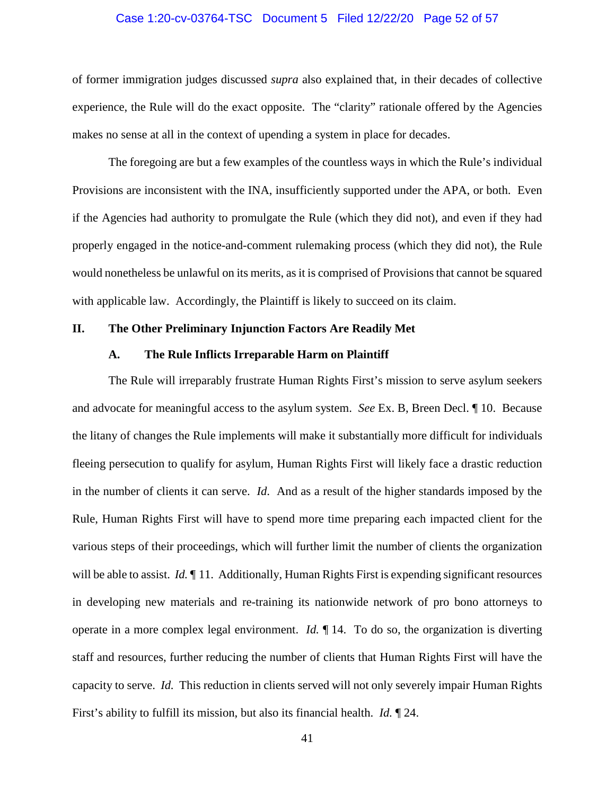#### Case 1:20-cv-03764-TSC Document 5 Filed 12/22/20 Page 52 of 57

of former immigration judges discussed *supra* also explained that, in their decades of collective experience, the Rule will do the exact opposite. The "clarity" rationale offered by the Agencies makes no sense at all in the context of upending a system in place for decades.

The foregoing are but a few examples of the countless ways in which the Rule's individual Provisions are inconsistent with the INA, insufficiently supported under the APA, or both. Even if the Agencies had authority to promulgate the Rule (which they did not), and even if they had properly engaged in the notice-and-comment rulemaking process (which they did not), the Rule would nonetheless be unlawful on its merits, as it is comprised of Provisions that cannot be squared with applicable law. Accordingly, the Plaintiff is likely to succeed on its claim.

#### **II. The Other Preliminary Injunction Factors Are Readily Met**

#### **A. The Rule Inflicts Irreparable Harm on Plaintiff**

The Rule will irreparably frustrate Human Rights First's mission to serve asylum seekers and advocate for meaningful access to the asylum system. *See* Ex. B, Breen Decl. ¶ 10. Because the litany of changes the Rule implements will make it substantially more difficult for individuals fleeing persecution to qualify for asylum, Human Rights First will likely face a drastic reduction in the number of clients it can serve. *Id*.And as a result of the higher standards imposed by the Rule, Human Rights First will have to spend more time preparing each impacted client for the various steps of their proceedings, which will further limit the number of clients the organization will be able to assist. *Id.*  $\llbracket$  11. Additionally, Human Rights First is expending significant resources in developing new materials and re-training its nationwide network of pro bono attorneys to operate in a more complex legal environment. *Id.* ¶ 14. To do so, the organization is diverting staff and resources, further reducing the number of clients that Human Rights First will have the capacity to serve. *Id.* This reduction in clients served will not only severely impair Human Rights First's ability to fulfill its mission, but also its financial health. *Id.* ¶ 24.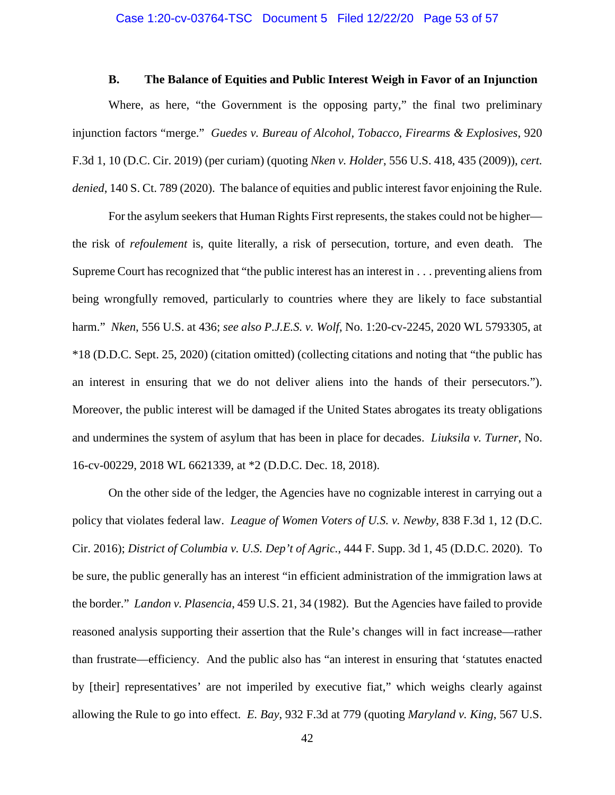#### **B. The Balance of Equities and Public Interest Weigh in Favor of an Injunction**

Where, as here, "the Government is the opposing party," the final two preliminary injunction factors "merge." *Guedes v. Bureau of Alcohol, Tobacco, Firearms & Explosives*, 920 F.3d 1, 10 (D.C. Cir. 2019) (per curiam) (quoting *Nken v. Holder*, 556 U.S. 418, 435 (2009)), *cert. denied*, 140 S. Ct. 789 (2020). The balance of equities and public interest favor enjoining the Rule.

For the asylum seekers that Human Rights First represents, the stakes could not be higher the risk of *refoulement* is, quite literally, a risk of persecution, torture, and even death. The Supreme Court has recognized that "the public interest has an interest in . . . preventing aliens from being wrongfully removed, particularly to countries where they are likely to face substantial harm." *Nken*, 556 U.S. at 436; *see also P.J.E.S. v. Wolf*, No. 1:20-cv-2245, 2020 WL 5793305, at \*18 (D.D.C. Sept. 25, 2020) (citation omitted) (collecting citations and noting that "the public has an interest in ensuring that we do not deliver aliens into the hands of their persecutors."). Moreover, the public interest will be damaged if the United States abrogates its treaty obligations and undermines the system of asylum that has been in place for decades. *Liuksila v. Turner*, No. 16-cv-00229, 2018 WL 6621339, at \*2 (D.D.C. Dec. 18, 2018).

On the other side of the ledger, the Agencies have no cognizable interest in carrying out a policy that violates federal law. *League of Women Voters of U.S. v. Newby*, 838 F.3d 1, 12 (D.C. Cir. 2016); *District of Columbia v. U.S. Dep't of Agric.*, 444 F. Supp. 3d 1, 45 (D.D.C. 2020). To be sure, the public generally has an interest "in efficient administration of the immigration laws at the border." *Landon v. Plasencia*, 459 U.S. 21, 34 (1982). But the Agencies have failed to provide reasoned analysis supporting their assertion that the Rule's changes will in fact increase—rather than frustrate—efficiency. And the public also has "an interest in ensuring that 'statutes enacted by [their] representatives' are not imperiled by executive fiat," which weighs clearly against allowing the Rule to go into effect. *E. Bay*, 932 F.3d at 779 (quoting *Maryland v. King*, 567 U.S.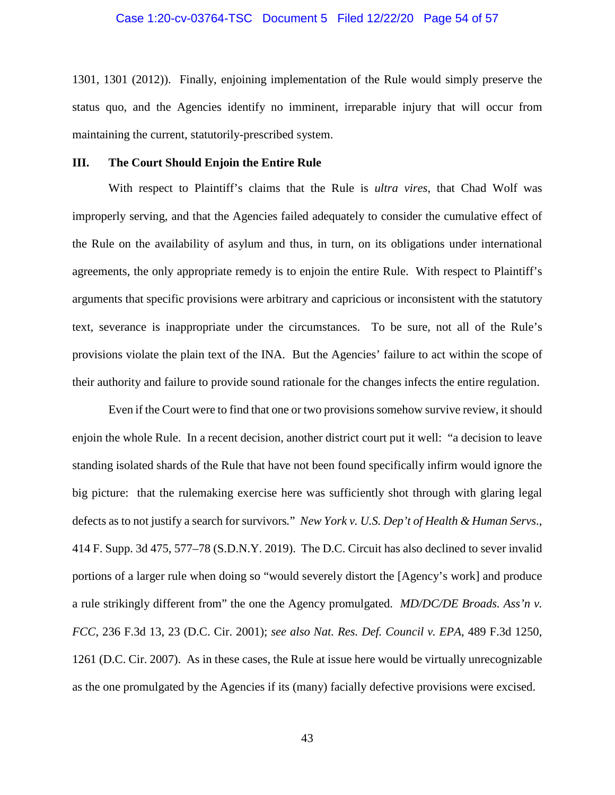#### Case 1:20-cv-03764-TSC Document 5 Filed 12/22/20 Page 54 of 57

1301, 1301 (2012)). Finally, enjoining implementation of the Rule would simply preserve the status quo, and the Agencies identify no imminent, irreparable injury that will occur from maintaining the current, statutorily-prescribed system.

#### **III. The Court Should Enjoin the Entire Rule**

With respect to Plaintiff's claims that the Rule is *ultra vires*, that Chad Wolf was improperly serving, and that the Agencies failed adequately to consider the cumulative effect of the Rule on the availability of asylum and thus, in turn, on its obligations under international agreements, the only appropriate remedy is to enjoin the entire Rule. With respect to Plaintiff's arguments that specific provisions were arbitrary and capricious or inconsistent with the statutory text, severance is inappropriate under the circumstances. To be sure, not all of the Rule's provisions violate the plain text of the INA. But the Agencies' failure to act within the scope of their authority and failure to provide sound rationale for the changes infects the entire regulation.

Even if the Court were to find that one or two provisions somehow survive review, it should enjoin the whole Rule. In a recent decision, another district court put it well: "a decision to leave standing isolated shards of the Rule that have not been found specifically infirm would ignore the big picture: that the rulemaking exercise here was sufficiently shot through with glaring legal defects as to not justify a search for survivors*.*" *New York v. U.S. Dep't of Health & Human Servs*., 414 F. Supp. 3d 475, 577–78 (S.D.N.Y. 2019). The D.C. Circuit has also declined to sever invalid portions of a larger rule when doing so "would severely distort the [Agency's work] and produce a rule strikingly different from" the one the Agency promulgated. *MD/DC/DE Broads. Ass'n v. FCC*, 236 F.3d 13, 23 (D.C. Cir. 2001); *see also Nat. Res. Def. Council v. EPA*, 489 F.3d 1250, 1261 (D.C. Cir. 2007). As in these cases, the Rule at issue here would be virtually unrecognizable as the one promulgated by the Agencies if its (many) facially defective provisions were excised.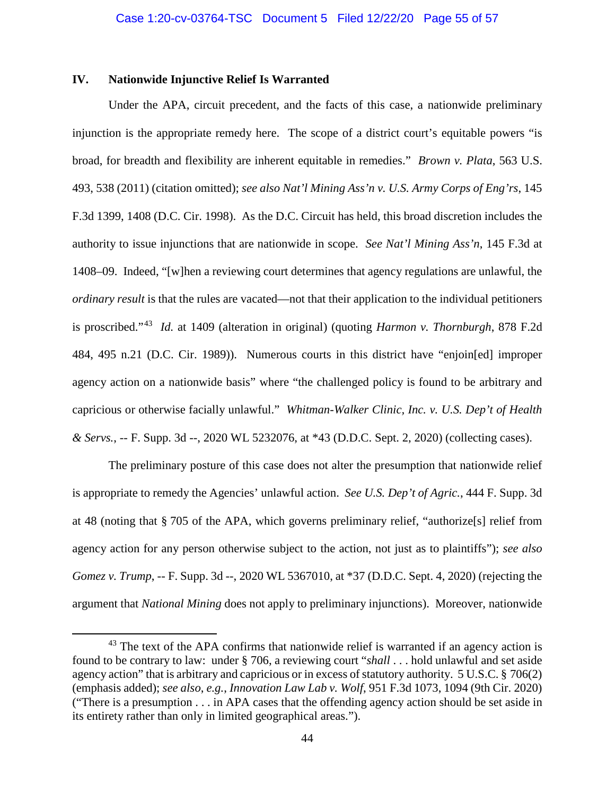### **IV. Nationwide Injunctive Relief Is Warranted**

Under the APA, circuit precedent, and the facts of this case, a nationwide preliminary injunction is the appropriate remedy here. The scope of a district court's equitable powers "is broad, for breadth and flexibility are inherent equitable in remedies." *Brown v. Plata*, 563 U.S. 493, 538 (2011) (citation omitted); *see also Nat'l Mining Ass'n v. U.S. Army Corps of Eng'rs*, 145 F.3d 1399, 1408 (D.C. Cir. 1998). As the D.C. Circuit has held, this broad discretion includes the authority to issue injunctions that are nationwide in scope. *See Nat'l Mining Ass'n*, 145 F.3d at 1408–09. Indeed, "[w]hen a reviewing court determines that agency regulations are unlawful, the *ordinary result* is that the rules are vacated—not that their application to the individual petitioners is proscribed."43 *Id.* at 1409 (alteration in original) (quoting *Harmon v. Thornburgh*, 878 F.2d 484, 495 n.21 (D.C. Cir. 1989)). Numerous courts in this district have "enjoin[ed] improper agency action on a nationwide basis" where "the challenged policy is found to be arbitrary and capricious or otherwise facially unlawful." *Whitman-Walker Clinic, Inc. v. U.S. Dep't of Health & Servs.*, -- F. Supp. 3d --, 2020 WL 5232076, at \*43 (D.D.C. Sept. 2, 2020) (collecting cases).

The preliminary posture of this case does not alter the presumption that nationwide relief is appropriate to remedy the Agencies' unlawful action. *See U.S. Dep't of Agric.*, 444 F. Supp. 3d at 48 (noting that § 705 of the APA, which governs preliminary relief, "authorize[s] relief from agency action for any person otherwise subject to the action, not just as to plaintiffs"); *see also Gomez v. Trump*, -- F. Supp. 3d --, 2020 WL 5367010, at \*37 (D.D.C. Sept. 4, 2020) (rejecting the argument that *National Mining* does not apply to preliminary injunctions). Moreover, nationwide

<sup>&</sup>lt;sup>43</sup> The text of the APA confirms that nationwide relief is warranted if an agency action is found to be contrary to law: under § 706, a reviewing court "*shall* . . . hold unlawful and set aside agency action" that is arbitrary and capricious or in excess of statutory authority. 5 U.S.C. § 706(2) (emphasis added); *see also*, *e.g.*, *Innovation Law Lab v. Wolf*, 951 F.3d 1073, 1094 (9th Cir. 2020) ("There is a presumption . . . in APA cases that the offending agency action should be set aside in its entirety rather than only in limited geographical areas.").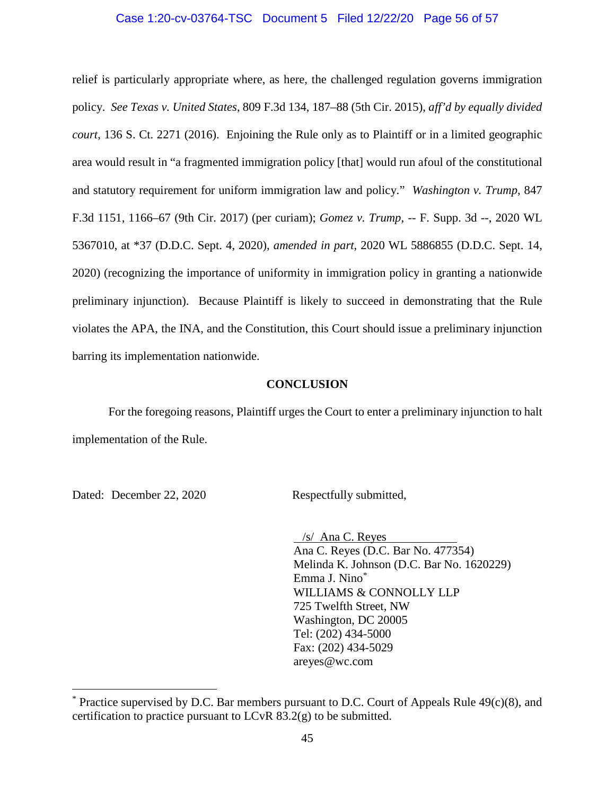#### Case 1:20-cv-03764-TSC Document 5 Filed 12/22/20 Page 56 of 57

relief is particularly appropriate where, as here, the challenged regulation governs immigration policy. *See Texas v. United States*, 809 F.3d 134, 187–88 (5th Cir. 2015), *aff'd by equally divided court*, 136 S. Ct. 2271 (2016). Enjoining the Rule only as to Plaintiff or in a limited geographic area would result in "a fragmented immigration policy [that] would run afoul of the constitutional and statutory requirement for uniform immigration law and policy." *Washington v. Trump*, 847 F.3d 1151, 1166–67 (9th Cir. 2017) (per curiam); *Gomez v. Trump*, -- F. Supp. 3d --, 2020 WL 5367010, at \*37 (D.D.C. Sept. 4, 2020), *amended in part*, 2020 WL 5886855 (D.D.C. Sept. 14, 2020) (recognizing the importance of uniformity in immigration policy in granting a nationwide preliminary injunction). Because Plaintiff is likely to succeed in demonstrating that the Rule violates the APA, the INA, and the Constitution, this Court should issue a preliminary injunction barring its implementation nationwide.

#### **CONCLUSION**

For the foregoing reasons, Plaintiff urges the Court to enter a preliminary injunction to halt implementation of the Rule.

Dated: December 22, 2020 Respectfully submitted,

 /s/ Ana C. Reyes Ana C. Reyes (D.C. Bar No. 477354) Melinda K. Johnson (D.C. Bar No. 1620229) Emma J. Nino\* WILLIAMS & CONNOLLY LLP 725 Twelfth Street, NW Washington, DC 20005 Tel: (202) 434-5000 Fax: (202) 434-5029 areyes@wc.com

 $*$  Practice supervised by D.C. Bar members pursuant to D.C. Court of Appeals Rule 49(c)(8), and certification to practice pursuant to LCvR 83.2(g) to be submitted.